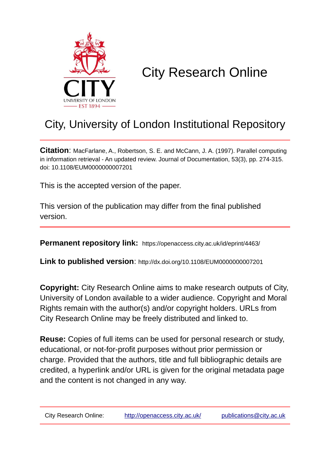

# City Research Online

## City, University of London Institutional Repository

**Citation**: MacFarlane, A., Robertson, S. E. and McCann, J. A. (1997). Parallel computing in information retrieval - An updated review. Journal of Documentation, 53(3), pp. 274-315. doi: 10.1108/EUM0000000007201

This is the accepted version of the paper.

This version of the publication may differ from the final published version.

**Permanent repository link:** https://openaccess.city.ac.uk/id/eprint/4463/

**Link to published version**: http://dx.doi.org/10.1108/EUM0000000007201

**Copyright:** City Research Online aims to make research outputs of City, University of London available to a wider audience. Copyright and Moral Rights remain with the author(s) and/or copyright holders. URLs from City Research Online may be freely distributed and linked to.

**Reuse:** Copies of full items can be used for personal research or study, educational, or not-for-profit purposes without prior permission or charge. Provided that the authors, title and full bibliographic details are credited, a hyperlink and/or URL is given for the original metadata page and the content is not changed in any way.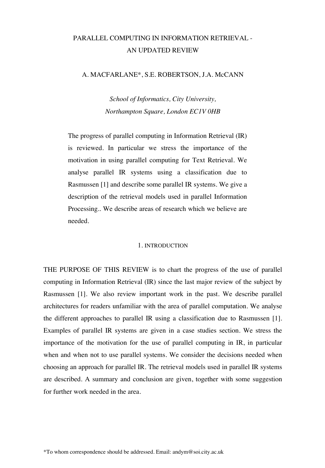## PARALLEL COMPUTING IN INFORMATION RETRIEVAL - AN UPDATED REVIEW

#### A. MACFARLANE\*, S.E. ROBERTSON, J.A. McCANN

*School of Informatics, City University, Northampton Square, London EC1V 0HB*

The progress of parallel computing in Information Retrieval (IR) is reviewed. In particular we stress the importance of the motivation in using parallel computing for Text Retrieval. We analyse parallel IR systems using a classification due to Rasmussen [1] and describe some parallel IR systems. We give a description of the retrieval models used in parallel Information Processing.. We describe areas of research which we believe are needed.

#### 1. INTRODUCTION

THE PURPOSE OF THIS REVIEW is to chart the progress of the use of parallel computing in Information Retrieval (IR) since the last major review of the subject by Rasmussen [1]. We also review important work in the past. We describe parallel architectures for readers unfamiliar with the area of parallel computation. We analyse the different approaches to parallel IR using a classification due to Rasmussen [1]. Examples of parallel IR systems are given in a case studies section. We stress the importance of the motivation for the use of parallel computing in IR, in particular when and when not to use parallel systems. We consider the decisions needed when choosing an approach for parallel IR. The retrieval models used in parallel IR systems are described. A summary and conclusion are given, together with some suggestion for further work needed in the area.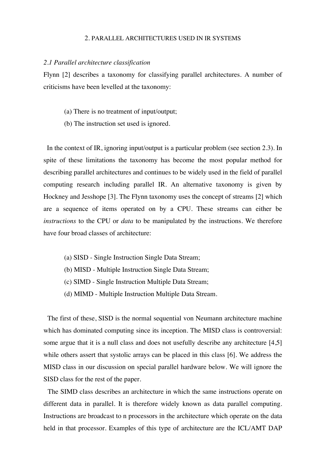#### 2. PARALLEL ARCHITECTURES USED IN IR SYSTEMS

#### *2.1 Parallel architecture classification*

Flynn [2] describes a taxonomy for classifying parallel architectures. A number of criticisms have been levelled at the taxonomy:

- (a) There is no treatment of input/output;
- (b) The instruction set used is ignored.

In the context of IR, ignoring input/output is a particular problem (see section 2.3). In spite of these limitations the taxonomy has become the most popular method for describing parallel architectures and continues to be widely used in the field of parallel computing research including parallel IR. An alternative taxonomy is given by Hockney and Jesshope [3]. The Flynn taxonomy uses the concept of streams [2] which are a sequence of items operated on by a CPU. These streams can either be *instructions* to the CPU or *data* to be manipulated by the instructions. We therefore have four broad classes of architecture:

- (a) SISD Single Instruction Single Data Stream;
- (b) MISD Multiple Instruction Single Data Stream;
- (c) SIMD Single Instruction Multiple Data Stream;
- (d) MIMD Multiple Instruction Multiple Data Stream.

 The first of these, SISD is the normal sequential von Neumann architecture machine which has dominated computing since its inception. The MISD class is controversial: some argue that it is a null class and does not usefully describe any architecture [4,5] while others assert that systolic arrays can be placed in this class [6]. We address the MISD class in our discussion on special parallel hardware below. We will ignore the SISD class for the rest of the paper.

 The SIMD class describes an architecture in which the same instructions operate on different data in parallel. It is therefore widely known as data parallel computing. Instructions are broadcast to n processors in the architecture which operate on the data held in that processor. Examples of this type of architecture are the ICL/AMT DAP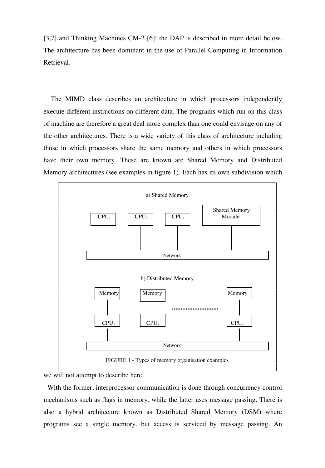[3,7] and Thinking Machines CM-2 [6]: the DAP is described in more detail below. The architecture has been dominant in the use of Parallel Computing in Information Retrieval.

 The MIMD class describes an architecture in which processors independently execute different instructions on different data. The programs which run on this class of machine are therefore a great deal more complex than one could envisage on any of the other architectures. There is a wide variety of this class of architecture including those in which processors share the same memory and others in which processors have their own memory. These are known are Shared Memory and Distributed Memory architectures (see examples in figure 1). Each has its own subdivision which



we will not attempt to describe here.

 With the former, interprocessor communication is done through concurrency control mechanisms such as flags in memory, while the latter uses message passing. There is also a hybrid architecture known as Distributed Shared Memory (DSM) where programs see a single memory, but access is serviced by message passing. An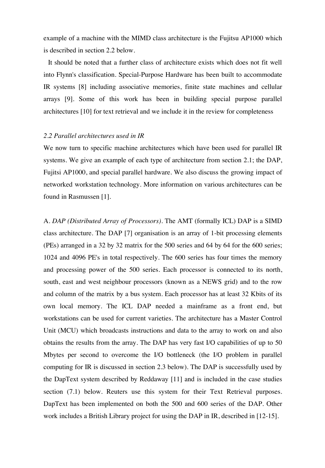example of a machine with the MIMD class architecture is the Fujitsu AP1000 which is described in section 2.2 below.

 It should be noted that a further class of architecture exists which does not fit well into Flynn's classification. Special-Purpose Hardware has been built to accommodate IR systems [8] including associative memories, finite state machines and cellular arrays [9]. Some of this work has been in building special purpose parallel architectures [10] for text retrieval and we include it in the review for completeness

#### *2.2 Parallel architectures used in IR*

We now turn to specific machine architectures which have been used for parallel IR systems. We give an example of each type of architecture from section 2.1; the DAP, Fujitsi AP1000, and special parallel hardware. We also discuss the growing impact of networked workstation technology. More information on various architectures can be found in Rasmussen [1].

A. *DAP (Distributed Array of Processors)*. The AMT (formally ICL) DAP is a SIMD class architecture. The DAP [7] organisation is an array of 1-bit processing elements (PEs) arranged in a 32 by 32 matrix for the 500 series and 64 by 64 for the 600 series; 1024 and 4096 PE's in total respectively. The 600 series has four times the memory and processing power of the 500 series. Each processor is connected to its north, south, east and west neighbour processors (known as a NEWS grid) and to the row and column of the matrix by a bus system. Each processor has at least 32 Kbits of its own local memory. The ICL DAP needed a mainframe as a front end, but workstations can be used for current varieties. The architecture has a Master Control Unit (MCU) which broadcasts instructions and data to the array to work on and also obtains the results from the array. The DAP has very fast I/O capabilities of up to 50 Mbytes per second to overcome the I/O bottleneck (the I/O problem in parallel computing for IR is discussed in section 2.3 below). The DAP is successfully used by the DapText system described by Reddaway [11] and is included in the case studies section (7.1) below. Reuters use this system for their Text Retrieval purposes. DapText has been implemented on both the 500 and 600 series of the DAP. Other work includes a British Library project for using the DAP in IR, described in [12-15].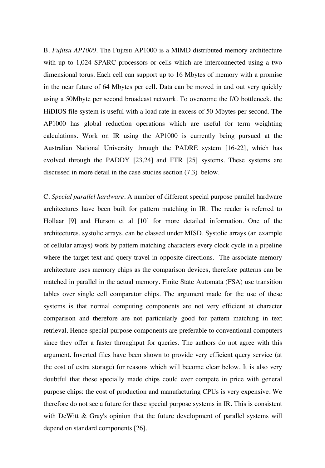B. *Fujitsu AP1000*. The Fujitsu AP1000 is a MIMD distributed memory architecture with up to 1,024 SPARC processors or cells which are interconnected using a two dimensional torus. Each cell can support up to 16 Mbytes of memory with a promise in the near future of 64 Mbytes per cell. Data can be moved in and out very quickly using a 50Mbyte per second broadcast network. To overcome the I/O bottleneck, the HiDIOS file system is useful with a load rate in excess of 50 Mbytes per second. The AP1000 has global reduction operations which are useful for term weighting calculations. Work on IR using the AP1000 is currently being pursued at the Australian National University through the PADRE system [16-22], which has evolved through the PADDY [23,24] and FTR [25] systems. These systems are discussed in more detail in the case studies section (7.3) below.

C. *Special parallel hardware.* A number of different special purpose parallel hardware architectures have been built for pattern matching in IR. The reader is referred to Hollaar [9] and Hurson et al [10] for more detailed information. One of the architectures, systolic arrays, can be classed under MISD. Systolic arrays (an example of cellular arrays) work by pattern matching characters every clock cycle in a pipeline where the target text and query travel in opposite directions. The associate memory architecture uses memory chips as the comparison devices, therefore patterns can be matched in parallel in the actual memory. Finite State Automata (FSA) use transition tables over single cell comparator chips. The argument made for the use of these systems is that normal computing components are not very efficient at character comparison and therefore are not particularly good for pattern matching in text retrieval. Hence special purpose components are preferable to conventional computers since they offer a faster throughput for queries. The authors do not agree with this argument. Inverted files have been shown to provide very efficient query service (at the cost of extra storage) for reasons which will become clear below. It is also very doubtful that these specially made chips could ever compete in price with general purpose chips: the cost of production and manufacturing CPUs is very expensive. We therefore do not see a future for these special purpose systems in IR. This is consistent with DeWitt & Gray's opinion that the future development of parallel systems will depend on standard components [26].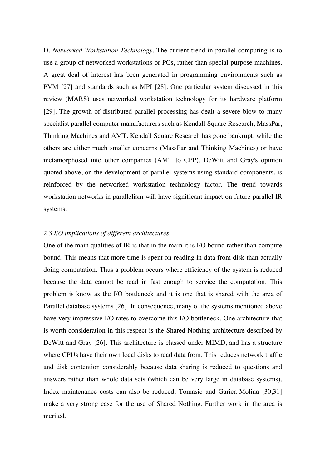D. *Networked Workstation Technology*. The current trend in parallel computing is to use a group of networked workstations or PCs, rather than special purpose machines. A great deal of interest has been generated in programming environments such as PVM [27] and standards such as MPI [28]. One particular system discussed in this review (MARS) uses networked workstation technology for its hardware platform [29]. The growth of distributed parallel processing has dealt a severe blow to many specialist parallel computer manufacturers such as Kendall Square Research, MassPar, Thinking Machines and AMT. Kendall Square Research has gone bankrupt, while the others are either much smaller concerns (MassPar and Thinking Machines) or have metamorphosed into other companies (AMT to CPP). DeWitt and Gray's opinion quoted above, on the development of parallel systems using standard components, is reinforced by the networked workstation technology factor. The trend towards workstation networks in parallelism will have significant impact on future parallel IR systems.

#### 2.3 *I/O implications of different architectures*

One of the main qualities of IR is that in the main it is I/O bound rather than compute bound. This means that more time is spent on reading in data from disk than actually doing computation. Thus a problem occurs where efficiency of the system is reduced because the data cannot be read in fast enough to service the computation. This problem is know as the I/O bottleneck and it is one that is shared with the area of Parallel database systems [26]. In consequence, many of the systems mentioned above have very impressive I/O rates to overcome this I/O bottleneck. One architecture that is worth consideration in this respect is the Shared Nothing architecture described by DeWitt and Gray [26]. This architecture is classed under MIMD, and has a structure where CPUs have their own local disks to read data from. This reduces network traffic and disk contention considerably because data sharing is reduced to questions and answers rather than whole data sets (which can be very large in database systems). Index maintenance costs can also be reduced. Tomasic and Garica-Molina [30,31] make a very strong case for the use of Shared Nothing. Further work in the area is merited.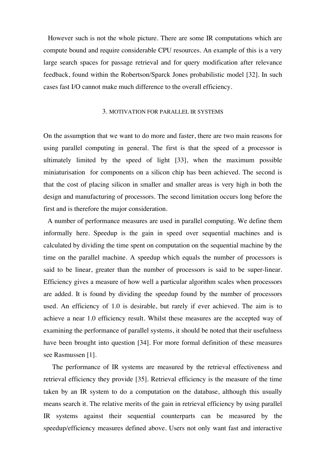However such is not the whole picture. There are some IR computations which are compute bound and require considerable CPU resources. An example of this is a very large search spaces for passage retrieval and for query modification after relevance feedback, found within the Robertson/Sparck Jones probabilistic model [32]. In such cases fast I/O cannot make much difference to the overall efficiency.

#### 3. MOTIVATION FOR PARALLEL IR SYSTEMS

On the assumption that we want to do more and faster, there are two main reasons for using parallel computing in general. The first is that the speed of a processor is ultimately limited by the speed of light [33], when the maximum possible miniaturisation for components on a silicon chip has been achieved. The second is that the cost of placing silicon in smaller and smaller areas is very high in both the design and manufacturing of processors. The second limitation occurs long before the first and is therefore the major consideration.

 A number of performance measures are used in parallel computing. We define them informally here. Speedup is the gain in speed over sequential machines and is calculated by dividing the time spent on computation on the sequential machine by the time on the parallel machine. A speedup which equals the number of processors is said to be linear, greater than the number of processors is said to be super-linear. Efficiency gives a measure of how well a particular algorithm scales when processors are added. It is found by dividing the speedup found by the number of processors used. An efficiency of 1.0 is desirable, but rarely if ever achieved. The aim is to achieve a near 1.0 efficiency result. Whilst these measures are the accepted way of examining the performance of parallel systems, it should be noted that their usefulness have been brought into question [34]. For more formal definition of these measures see Rasmussen [1].

 The performance of IR systems are measured by the retrieval effectiveness and retrieval efficiency they provide [35]. Retrieval efficiency is the measure of the time taken by an IR system to do a computation on the database, although this usually means search it. The relative merits of the gain in retrieval efficiency by using parallel IR systems against their sequential counterparts can be measured by the speedup/efficiency measures defined above. Users not only want fast and interactive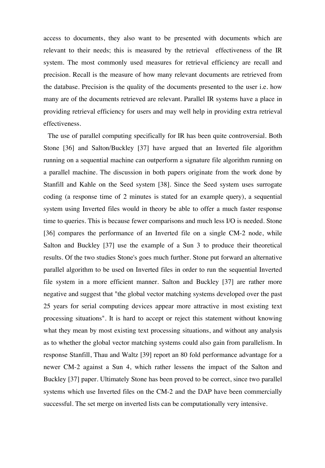access to documents, they also want to be presented with documents which are relevant to their needs; this is measured by the retrieval effectiveness of the IR system. The most commonly used measures for retrieval efficiency are recall and precision. Recall is the measure of how many relevant documents are retrieved from the database. Precision is the quality of the documents presented to the user i.e. how many are of the documents retrieved are relevant. Parallel IR systems have a place in providing retrieval efficiency for users and may well help in providing extra retrieval effectiveness.

 The use of parallel computing specifically for IR has been quite controversial. Both Stone [36] and Salton/Buckley [37] have argued that an Inverted file algorithm running on a sequential machine can outperform a signature file algorithm running on a parallel machine. The discussion in both papers originate from the work done by Stanfill and Kahle on the Seed system [38]. Since the Seed system uses surrogate coding (a response time of 2 minutes is stated for an example query), a sequential system using Inverted files would in theory be able to offer a much faster response time to queries. This is because fewer comparisons and much less I/O is needed. Stone [36] compares the performance of an Inverted file on a single CM-2 node, while Salton and Buckley [37] use the example of a Sun 3 to produce their theoretical results. Of the two studies Stone's goes much further. Stone put forward an alternative parallel algorithm to be used on Inverted files in order to run the sequential Inverted file system in a more efficient manner. Salton and Buckley [37] are rather more negative and suggest that "the global vector matching systems developed over the past 25 years for serial computing devices appear more attractive in most existing text processing situations". It is hard to accept or reject this statement without knowing what they mean by most existing text processing situations, and without any analysis as to whether the global vector matching systems could also gain from parallelism. In response Stanfill, Thau and Waltz [39] report an 80 fold performance advantage for a newer CM-2 against a Sun 4, which rather lessens the impact of the Salton and Buckley [37] paper. Ultimately Stone has been proved to be correct, since two parallel systems which use Inverted files on the CM-2 and the DAP have been commercially successful. The set merge on inverted lists can be computationally very intensive.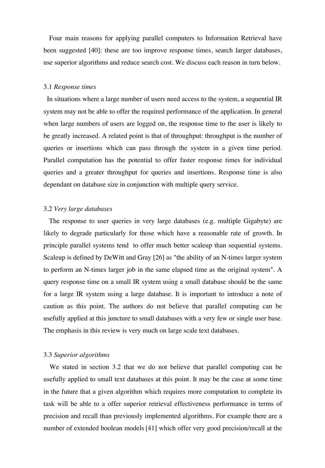Four main reasons for applying parallel computers to Information Retrieval have been suggested [40]: these are too improve response times, search larger databases, use superior algorithms and reduce search cost. We discuss each reason in turn below.

#### 3.1 *Response times*

 In situations where a large number of users need access to the system, a sequential IR system may not be able to offer the required performance of the application. In general when large numbers of users are logged on, the response time to the user is likely to be greatly increased. A related point is that of throughput: throughput is the number of queries or insertions which can pass through the system in a given time period. Parallel computation has the potential to offer faster response times for individual queries and a greater throughput for queries and insertions. Response time is also dependant on database size in conjunction with multiple query service.

#### 3.2 *Very large databases*

 The response to user queries in very large databases (e.g. multiple Gigabyte) are likely to degrade particularly for those which have a reasonable rate of growth. In principle parallel systems tend to offer much better scaleup than sequential systems. Scaleup is defined by DeWitt and Gray [26] as "the ability of an N-times larger system to perform an N-times larger job in the same elapsed time as the original system". A query response time on a small IR system using a small database should be the same for a large IR system using a large database. It is important to introduce a note of caution as this point. The authors do not believe that parallel computing can be usefully applied at this juncture to small databases with a very few or single user base. The emphasis in this review is very much on large scale text databases.

#### 3.3 *Superior algorithms*

 We stated in section 3.2 that we do not believe that parallel computing can be usefully applied to small text databases at this point. It may be the case at some time in the future that a given algorithm which requires more computation to complete its task will be able to a offer superior retrieval effectiveness performance in terms of precision and recall than previously implemented algorithms. For example there are a number of extended boolean models [41] which offer very good precision/recall at the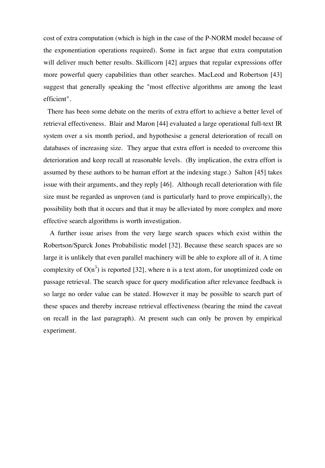cost of extra computation (which is high in the case of the P-NORM model because of the exponentiation operations required). Some in fact argue that extra computation will deliver much better results. Skillicorn [42] argues that regular expressions offer more powerful query capabilities than other searches. MacLeod and Robertson [43] suggest that generally speaking the "most effective algorithms are among the least efficient".

 There has been some debate on the merits of extra effort to achieve a better level of retrieval effectiveness. Blair and Maron [44] evaluated a large operational full-text IR system over a six month period, and hypothesise a general deterioration of recall on databases of increasing size. They argue that extra effort is needed to overcome this deterioration and keep recall at reasonable levels. (By implication, the extra effort is assumed by these authors to be human effort at the indexing stage.) Salton [45] takes issue with their arguments, and they reply [46]. Although recall deterioration with file size must be regarded as unproven (and is particularly hard to prove empirically), the possibility both that it occurs and that it may be alleviated by more complex and more effective search algorithms is worth investigation.

 A further issue arises from the very large search spaces which exist within the Robertson/Sparck Jones Probabilistic model [32]. Because these search spaces are so large it is unlikely that even parallel machinery will be able to explore all of it. A time complexity of  $O(n^3)$  is reported [32], where n is a text atom, for unoptimized code on passage retrieval. The search space for query modification after relevance feedback is so large no order value can be stated. However it may be possible to search part of these spaces and thereby increase retrieval effectiveness (bearing the mind the caveat on recall in the last paragraph). At present such can only be proven by empirical experiment.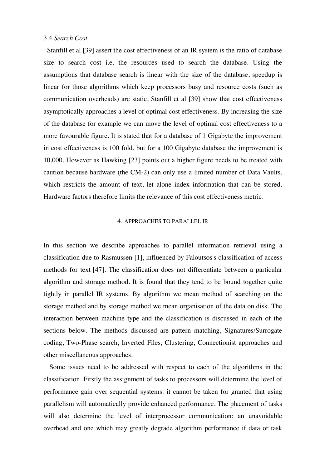#### 3.4 *Search Cost*

 Stanfill et al [39] assert the cost effectiveness of an IR system is the ratio of database size to search cost i.e. the resources used to search the database. Using the assumptions that database search is linear with the size of the database, speedup is linear for those algorithms which keep processors busy and resource costs (such as communication overheads) are static, Stanfill et al [39] show that cost effectiveness asymptotically approaches a level of optimal cost effectiveness. By increasing the size of the database for example we can move the level of optimal cost effectiveness to a more favourable figure. It is stated that for a database of 1 Gigabyte the improvement in cost effectiveness is 100 fold, but for a 100 Gigabyte database the improvement is 10,000. However as Hawking [23] points out a higher figure needs to be treated with caution because hardware (the CM-2) can only use a limited number of Data Vaults, which restricts the amount of text, let alone index information that can be stored. Hardware factors therefore limits the relevance of this cost effectiveness metric.

#### 4. APPROACHES TO PARALLEL IR

In this section we describe approaches to parallel information retrieval using a classification due to Rasmussen [1], influenced by Faloutsos's classification of access methods for text [47]. The classification does not differentiate between a particular algorithm and storage method. It is found that they tend to be bound together quite tightly in parallel IR systems. By algorithm we mean method of searching on the storage method and by storage method we mean organisation of the data on disk. The interaction between machine type and the classification is discussed in each of the sections below. The methods discussed are pattern matching, Signatures/Surrogate coding, Two-Phase search, Inverted Files, Clustering, Connectionist approaches and other miscellaneous approaches.

 Some issues need to be addressed with respect to each of the algorithms in the classification. Firstly the assignment of tasks to processors will determine the level of performance gain over sequential systems: it cannot be taken for granted that using parallelism will automatically provide enhanced performance. The placement of tasks will also determine the level of interprocessor communication: an unavoidable overhead and one which may greatly degrade algorithm performance if data or task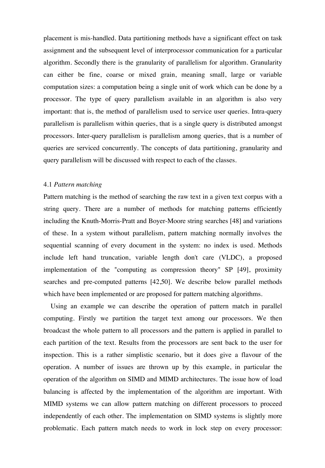placement is mis-handled. Data partitioning methods have a significant effect on task assignment and the subsequent level of interprocessor communication for a particular algorithm. Secondly there is the granularity of parallelism for algorithm. Granularity can either be fine, coarse or mixed grain, meaning small, large or variable computation sizes: a computation being a single unit of work which can be done by a processor. The type of query parallelism available in an algorithm is also very important: that is, the method of parallelism used to service user queries. Intra-query parallelism is parallelism within queries, that is a single query is distributed amongst processors. Inter-query parallelism is parallelism among queries, that is a number of queries are serviced concurrently. The concepts of data partitioning, granularity and query parallelism will be discussed with respect to each of the classes.

#### 4.1 *Pattern matching*

Pattern matching is the method of searching the raw text in a given text corpus with a string query. There are a number of methods for matching patterns efficiently including the Knuth-Morris-Pratt and Boyer-Moore string searches [48] and variations of these. In a system without parallelism, pattern matching normally involves the sequential scanning of every document in the system: no index is used. Methods include left hand truncation, variable length don't care (VLDC), a proposed implementation of the "computing as compression theory" SP [49], proximity searches and pre-computed patterns [42,50]. We describe below parallel methods which have been implemented or are proposed for pattern matching algorithms.

 Using an example we can describe the operation of pattern match in parallel computing. Firstly we partition the target text among our processors. We then broadcast the whole pattern to all processors and the pattern is applied in parallel to each partition of the text. Results from the processors are sent back to the user for inspection. This is a rather simplistic scenario, but it does give a flavour of the operation. A number of issues are thrown up by this example, in particular the operation of the algorithm on SIMD and MIMD architectures. The issue how of load balancing is affected by the implementation of the algorithm are important. With MIMD systems we can allow pattern matching on different processors to proceed independently of each other. The implementation on SIMD systems is slightly more problematic. Each pattern match needs to work in lock step on every processor: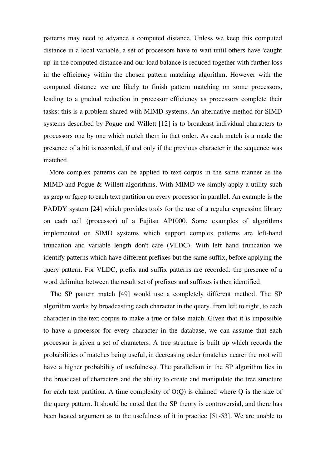patterns may need to advance a computed distance. Unless we keep this computed distance in a local variable, a set of processors have to wait until others have 'caught up' in the computed distance and our load balance is reduced together with further loss in the efficiency within the chosen pattern matching algorithm. However with the computed distance we are likely to finish pattern matching on some processors, leading to a gradual reduction in processor efficiency as processors complete their tasks: this is a problem shared with MIMD systems. An alternative method for SIMD systems described by Pogue and Willett [12] is to broadcast individual characters to processors one by one which match them in that order. As each match is a made the presence of a hit is recorded, if and only if the previous character in the sequence was matched.

 More complex patterns can be applied to text corpus in the same manner as the MIMD and Pogue & Willett algorithms. With MIMD we simply apply a utility such as grep or fgrep to each text partition on every processor in parallel. An example is the PADDY system [24] which provides tools for the use of a regular expression library on each cell (processor) of a Fujitsu AP1000. Some examples of algorithms implemented on SIMD systems which support complex patterns are left-hand truncation and variable length don't care (VLDC). With left hand truncation we identify patterns which have different prefixes but the same suffix, before applying the query pattern. For VLDC, prefix and suffix patterns are recorded: the presence of a word delimiter between the result set of prefixes and suffixes is then identified.

 The SP pattern match [49] would use a completely different method. The SP algorithm works by broadcasting each character in the query, from left to right, to each character in the text corpus to make a true or false match. Given that it is impossible to have a processor for every character in the database, we can assume that each processor is given a set of characters. A tree structure is built up which records the probabilities of matches being useful, in decreasing order (matches nearer the root will have a higher probability of usefulness). The parallelism in the SP algorithm lies in the broadcast of characters and the ability to create and manipulate the tree structure for each text partition. A time complexity of  $O(Q)$  is claimed where  $Q$  is the size of the query pattern. It should be noted that the SP theory is controversial, and there has been heated argument as to the usefulness of it in practice [51-53]. We are unable to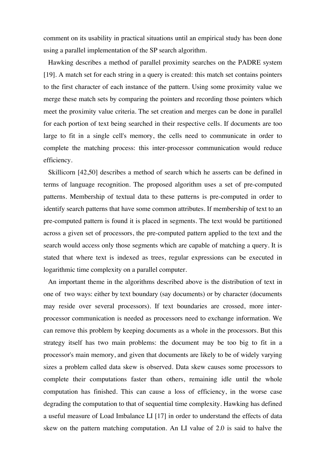comment on its usability in practical situations until an empirical study has been done using a parallel implementation of the SP search algorithm.

 Hawking describes a method of parallel proximity searches on the PADRE system [19]. A match set for each string in a query is created: this match set contains pointers to the first character of each instance of the pattern. Using some proximity value we merge these match sets by comparing the pointers and recording those pointers which meet the proximity value criteria. The set creation and merges can be done in parallel for each portion of text being searched in their respective cells. If documents are too large to fit in a single cell's memory, the cells need to communicate in order to complete the matching process: this inter-processor communication would reduce efficiency.

 Skillicorn [42,50] describes a method of search which he asserts can be defined in terms of language recognition. The proposed algorithm uses a set of pre-computed patterns. Membership of textual data to these patterns is pre-computed in order to identify search patterns that have some common attributes. If membership of text to an pre-computed pattern is found it is placed in segments. The text would be partitioned across a given set of processors, the pre-computed pattern applied to the text and the search would access only those segments which are capable of matching a query. It is stated that where text is indexed as trees, regular expressions can be executed in logarithmic time complexity on a parallel computer.

 An important theme in the algorithms described above is the distribution of text in one of two ways: either by text boundary (say documents) or by character (documents may reside over several processors). If text boundaries are crossed, more interprocessor communication is needed as processors need to exchange information. We can remove this problem by keeping documents as a whole in the processors. But this strategy itself has two main problems: the document may be too big to fit in a processor's main memory, and given that documents are likely to be of widely varying sizes a problem called data skew is observed. Data skew causes some processors to complete their computations faster than others, remaining idle until the whole computation has finished. This can cause a loss of efficiency, in the worse case degrading the computation to that of sequential time complexity. Hawking has defined a useful measure of Load Imbalance LI [17] in order to understand the effects of data skew on the pattern matching computation. An LI value of 2.0 is said to halve the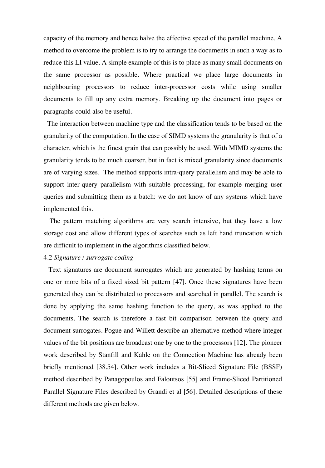capacity of the memory and hence halve the effective speed of the parallel machine. A method to overcome the problem is to try to arrange the documents in such a way as to reduce this LI value. A simple example of this is to place as many small documents on the same processor as possible. Where practical we place large documents in neighbouring processors to reduce inter-processor costs while using smaller documents to fill up any extra memory. Breaking up the document into pages or paragraphs could also be useful.

 The interaction between machine type and the classification tends to be based on the granularity of the computation. In the case of SIMD systems the granularity is that of a character, which is the finest grain that can possibly be used. With MIMD systems the granularity tends to be much coarser, but in fact is mixed granularity since documents are of varying sizes. The method supports intra-query parallelism and may be able to support inter-query parallelism with suitable processing, for example merging user queries and submitting them as a batch: we do not know of any systems which have implemented this.

 The pattern matching algorithms are very search intensive, but they have a low storage cost and allow different types of searches such as left hand truncation which are difficult to implement in the algorithms classified below.

#### 4.2 *Signature / surrogate coding*

 Text signatures are document surrogates which are generated by hashing terms on one or more bits of a fixed sized bit pattern [47]. Once these signatures have been generated they can be distributed to processors and searched in parallel. The search is done by applying the same hashing function to the query, as was applied to the documents. The search is therefore a fast bit comparison between the query and document surrogates. Pogue and Willett describe an alternative method where integer values of the bit positions are broadcast one by one to the processors [12]. The pioneer work described by Stanfill and Kahle on the Connection Machine has already been briefly mentioned [38,54]. Other work includes a Bit-Sliced Signature File (BSSF) method described by Panagopoulos and Faloutsos [55] and Frame-Sliced Partitioned Parallel Signature Files described by Grandi et al [56]. Detailed descriptions of these different methods are given below.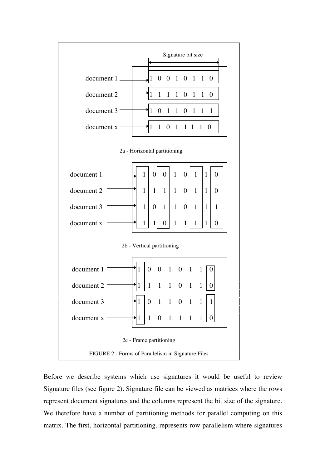

Before we describe systems which use signatures it would be useful to review Signature files (see figure 2). Signature file can be viewed as matrices where the rows represent document signatures and the columns represent the bit size of the signature. We therefore have a number of partitioning methods for parallel computing on this matrix. The first, horizontal partitioning, represents row parallelism where signatures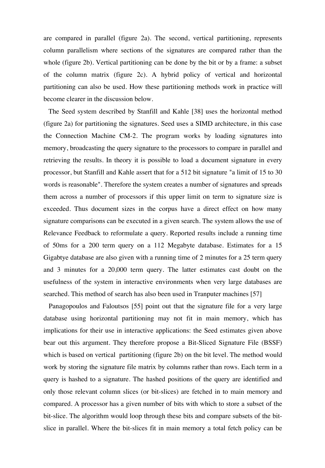are compared in parallel (figure 2a). The second, vertical partitioning, represents column parallelism where sections of the signatures are compared rather than the whole (figure 2b). Vertical partitioning can be done by the bit or by a frame: a subset of the column matrix (figure 2c). A hybrid policy of vertical and horizontal partitioning can also be used. How these partitioning methods work in practice will become clearer in the discussion below.

 The Seed system described by Stanfill and Kahle [38] uses the horizontal method (figure 2a) for partitioning the signatures. Seed uses a SIMD architecture, in this case the Connection Machine CM-2. The program works by loading signatures into memory, broadcasting the query signature to the processors to compare in parallel and retrieving the results. In theory it is possible to load a document signature in every processor, but Stanfill and Kahle assert that for a 512 bit signature "a limit of 15 to 30 words is reasonable". Therefore the system creates a number of signatures and spreads them across a number of processors if this upper limit on term to signature size is exceeded. Thus document sizes in the corpus have a direct effect on how many signature comparisons can be executed in a given search. The system allows the use of Relevance Feedback to reformulate a query. Reported results include a running time of 50ms for a 200 term query on a 112 Megabyte database. Estimates for a 15 Gigabtye database are also given with a running time of 2 minutes for a 25 term query and 3 minutes for a 20,000 term query. The latter estimates cast doubt on the usefulness of the system in interactive environments when very large databases are searched. This method of search has also been used in Tranputer machines [57]

 Panagopoulos and Faloutsos [55] point out that the signature file for a very large database using horizontal partitioning may not fit in main memory, which has implications for their use in interactive applications: the Seed estimates given above bear out this argument. They therefore propose a Bit-Sliced Signature File (BSSF) which is based on vertical partitioning (figure 2b) on the bit level. The method would work by storing the signature file matrix by columns rather than rows. Each term in a query is hashed to a signature. The hashed positions of the query are identified and only those relevant column slices (or bit-slices) are fetched in to main memory and compared. A processor has a given number of bits with which to store a subset of the bit-slice. The algorithm would loop through these bits and compare subsets of the bitslice in parallel. Where the bit-slices fit in main memory a total fetch policy can be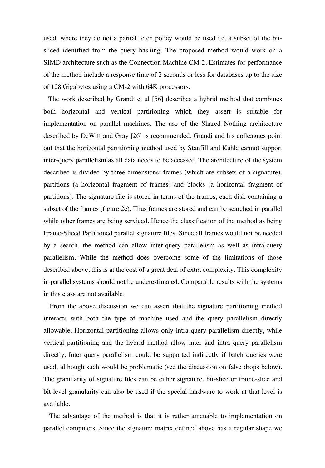used: where they do not a partial fetch policy would be used i.e. a subset of the bitsliced identified from the query hashing. The proposed method would work on a SIMD architecture such as the Connection Machine CM-2. Estimates for performance of the method include a response time of 2 seconds or less for databases up to the size of 128 Gigabytes using a CM-2 with 64K processors.

 The work described by Grandi et al [56] describes a hybrid method that combines both horizontal and vertical partitioning which they assert is suitable for implementation on parallel machines. The use of the Shared Nothing architecture described by DeWitt and Gray [26] is recommended. Grandi and his colleagues point out that the horizontal partitioning method used by Stanfill and Kahle cannot support inter-query parallelism as all data needs to be accessed. The architecture of the system described is divided by three dimensions: frames (which are subsets of a signature), partitions (a horizontal fragment of frames) and blocks (a horizontal fragment of partitions). The signature file is stored in terms of the frames, each disk containing a subset of the frames (figure 2c). Thus frames are stored and can be searched in parallel while other frames are being serviced. Hence the classification of the method as being Frame-Sliced Partitioned parallel signature files. Since all frames would not be needed by a search, the method can allow inter-query parallelism as well as intra-query parallelism. While the method does overcome some of the limitations of those described above, this is at the cost of a great deal of extra complexity. This complexity in parallel systems should not be underestimated. Comparable results with the systems in this class are not available.

 From the above discussion we can assert that the signature partitioning method interacts with both the type of machine used and the query parallelism directly allowable. Horizontal partitioning allows only intra query parallelism directly, while vertical partitioning and the hybrid method allow inter and intra query parallelism directly. Inter query parallelism could be supported indirectly if batch queries were used; although such would be problematic (see the discussion on false drops below). The granularity of signature files can be either signature, bit-slice or frame-slice and bit level granularity can also be used if the special hardware to work at that level is available.

 The advantage of the method is that it is rather amenable to implementation on parallel computers. Since the signature matrix defined above has a regular shape we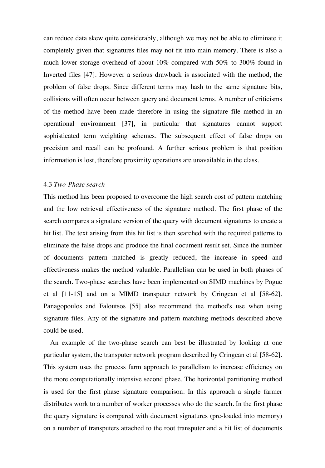can reduce data skew quite considerably, although we may not be able to eliminate it completely given that signatures files may not fit into main memory. There is also a much lower storage overhead of about 10% compared with 50% to 300% found in Inverted files [47]. However a serious drawback is associated with the method, the problem of false drops. Since different terms may hash to the same signature bits, collisions will often occur between query and document terms. A number of criticisms of the method have been made therefore in using the signature file method in an operational environment [37], in particular that signatures cannot support sophisticated term weighting schemes. The subsequent effect of false drops on precision and recall can be profound. A further serious problem is that position information is lost, therefore proximity operations are unavailable in the class.

#### 4.3 *Two-Phase search*

This method has been proposed to overcome the high search cost of pattern matching and the low retrieval effectiveness of the signature method. The first phase of the search compares a signature version of the query with document signatures to create a hit list. The text arising from this hit list is then searched with the required patterns to eliminate the false drops and produce the final document result set. Since the number of documents pattern matched is greatly reduced, the increase in speed and effectiveness makes the method valuable. Parallelism can be used in both phases of the search. Two-phase searches have been implemented on SIMD machines by Pogue et al [11-15] and on a MIMD transputer network by Cringean et al [58-62]. Panagopoulos and Faloutsos [55] also recommend the method's use when using signature files. Any of the signature and pattern matching methods described above could be used.

 An example of the two-phase search can best be illustrated by looking at one particular system, the transputer network program described by Cringean et al [58-62]. This system uses the process farm approach to parallelism to increase efficiency on the more computationally intensive second phase. The horizontal partitioning method is used for the first phase signature comparison. In this approach a single farmer distributes work to a number of worker processes who do the search. In the first phase the query signature is compared with document signatures (pre-loaded into memory) on a number of transputers attached to the root transputer and a hit list of documents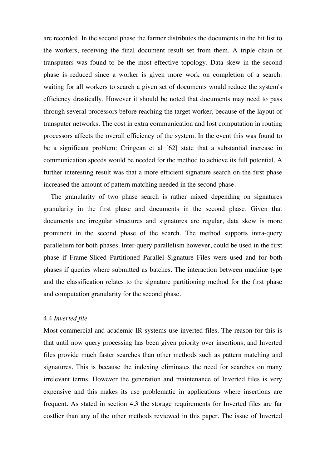are recorded. In the second phase the farmer distributes the documents in the hit list to the workers, receiving the final document result set from them. A triple chain of transputers was found to be the most effective topology. Data skew in the second phase is reduced since a worker is given more work on completion of a search: waiting for all workers to search a given set of documents would reduce the system's efficiency drastically. However it should be noted that documents may need to pass through several processors before reaching the target worker, because of the layout of transputer networks. The cost in extra communication and lost computation in routing processors affects the overall efficiency of the system. In the event this was found to be a significant problem: Cringean et al [62] state that a substantial increase in communication speeds would be needed for the method to achieve its full potential. A further interesting result was that a more efficient signature search on the first phase increased the amount of pattern matching needed in the second phase.

 The granularity of two phase search is rather mixed depending on signatures granularity in the first phase and documents in the second phase. Given that documents are irregular structures and signatures are regular, data skew is more prominent in the second phase of the search. The method supports intra-query parallelism for both phases. Inter-query parallelism however, could be used in the first phase if Frame-Sliced Partitioned Parallel Signature Files were used and for both phases if queries where submitted as batches. The interaction between machine type and the classification relates to the signature partitioning method for the first phase and computation granularity for the second phase.

#### 4.4 *Inverted file*

Most commercial and academic IR systems use inverted files. The reason for this is that until now query processing has been given priority over insertions, and Inverted files provide much faster searches than other methods such as pattern matching and signatures. This is because the indexing eliminates the need for searches on many irrelevant terms. However the generation and maintenance of Inverted files is very expensive and this makes its use problematic in applications where insertions are frequent. As stated in section 4.3 the storage requirements for Inverted files are far costlier than any of the other methods reviewed in this paper. The issue of Inverted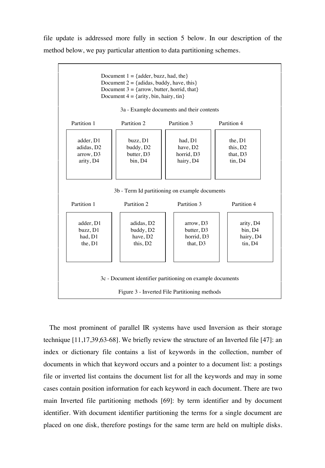file update is addressed more fully in section 5 below. In our description of the method below, we pay particular attention to data partitioning schemes.



 The most prominent of parallel IR systems have used Inversion as their storage technique [11,17,39,63-68]. We briefly review the structure of an Inverted file [47]: an index or dictionary file contains a list of keywords in the collection, number of documents in which that keyword occurs and a pointer to a document list: a postings file or inverted list contains the document list for all the keywords and may in some cases contain position information for each keyword in each document. There are two main Inverted file partitioning methods [69]: by term identifier and by document identifier. With document identifier partitioning the terms for a single document are placed on one disk, therefore postings for the same term are held on multiple disks.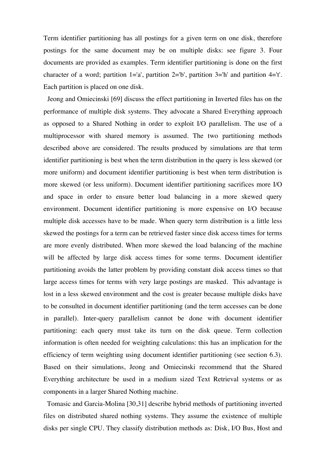Term identifier partitioning has all postings for a given term on one disk, therefore postings for the same document may be on multiple disks: see figure 3. Four documents are provided as examples. Term identifier partitioning is done on the first character of a word; partition  $1=$ 'a', partition  $2=$ 'b', partition  $3=$ 'h' and partition  $4=$ 't'. Each partition is placed on one disk.

 Jeong and Omiecinski [69] discuss the effect partitioning in Inverted files has on the performance of multiple disk systems. They advocate a Shared Everything approach as opposed to a Shared Nothing in order to exploit I/O parallelism. The use of a multiprocessor with shared memory is assumed. The two partitioning methods described above are considered. The results produced by simulations are that term identifier partitioning is best when the term distribution in the query is less skewed (or more uniform) and document identifier partitioning is best when term distribution is more skewed (or less uniform). Document identifier partitioning sacrifices more I/O and space in order to ensure better load balancing in a more skewed query environment. Document identifier partitioning is more expensive on I/O because multiple disk accesses have to be made. When query term distribution is a little less skewed the postings for a term can be retrieved faster since disk access times for terms are more evenly distributed. When more skewed the load balancing of the machine will be affected by large disk access times for some terms. Document identifier partitioning avoids the latter problem by providing constant disk access times so that large access times for terms with very large postings are masked. This advantage is lost in a less skewed environment and the cost is greater because multiple disks have to be consulted in document identifier partitioning (and the term accesses can be done in parallel). Inter-query parallelism cannot be done with document identifier partitioning: each query must take its turn on the disk queue. Term collection information is often needed for weighting calculations: this has an implication for the efficiency of term weighting using document identifier partitioning (see section 6.3). Based on their simulations, Jeong and Omiecinski recommend that the Shared Everything architecture be used in a medium sized Text Retrieval systems or as components in a larger Shared Nothing machine.

 Tomasic and Garcia-Molina [30,31] describe hybrid methods of partitioning inverted files on distributed shared nothing systems. They assume the existence of multiple disks per single CPU. They classify distribution methods as: Disk, I/O Bus, Host and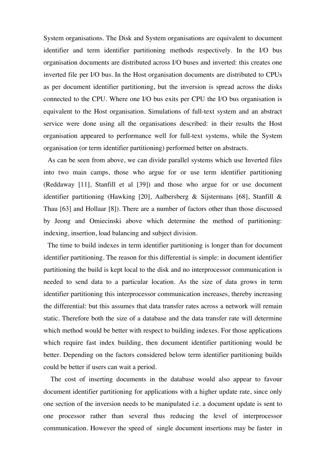System organisations. The Disk and System organisations are equivalent to document identifier and term identifier partitioning methods respectively. In the I/O bus organisation documents are distributed across I/O buses and inverted: this creates one inverted file per I/O bus. In the Host organisation documents are distributed to CPUs as per document identifier partitioning, but the inversion is spread across the disks connected to the CPU. Where one I/O bus exits per CPU the I/O bus organisation is equivalent to the Host organisation. Simulations of full-text system and an abstract service were done using all the organisations described: in their results the Host organisation appeared to performance well for full-text systems, while the System organisation (or term identifier partitioning) performed better on abstracts.

 As can be seen from above, we can divide parallel systems which use Inverted files into two main camps, those who argue for or use term identifier partitioning (Reddaway [11], Stanfill et al [39]) and those who argue for or use document identifier partitioning (Hawking [20], Aalbersberg & Sijstermans [68], Stanfill & Thau [63] and Hollaar [8]). There are a number of factors other than those discussed by Jeong and Omiecinski above which determine the method of partitioning: indexing, insertion, load balancing and subject division.

 The time to build indexes in term identifier partitioning is longer than for document identifier partitioning. The reason for this differential is simple: in document identifier partitioning the build is kept local to the disk and no interprocessor communication is needed to send data to a particular location. As the size of data grows in term identifier partitioning this interprocessor communication increases, thereby increasing the differential: but this assumes that data transfer rates across a network will remain static. Therefore both the size of a database and the data transfer rate will determine which method would be better with respect to building indexes. For those applications which require fast index building, then document identifier partitioning would be better. Depending on the factors considered below term identifier partitioning builds could be better if users can wait a period.

 The cost of inserting documents in the database would also appear to favour document identifier partitioning for applications with a higher update rate, since only one section of the inversion needs to be manipulated i.e. a document update is sent to one processor rather than several thus reducing the level of interprocessor communication. However the speed of single document insertions may be faster in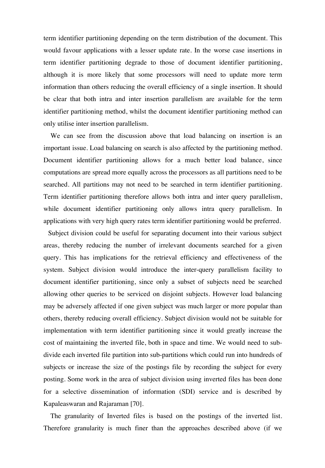term identifier partitioning depending on the term distribution of the document. This would favour applications with a lesser update rate. In the worse case insertions in term identifier partitioning degrade to those of document identifier partitioning, although it is more likely that some processors will need to update more term information than others reducing the overall efficiency of a single insertion. It should be clear that both intra and inter insertion parallelism are available for the term identifier partitioning method, whilst the document identifier partitioning method can only utilise inter insertion parallelism.

 We can see from the discussion above that load balancing on insertion is an important issue. Load balancing on search is also affected by the partitioning method. Document identifier partitioning allows for a much better load balance, since computations are spread more equally across the processors as all partitions need to be searched. All partitions may not need to be searched in term identifier partitioning. Term identifier partitioning therefore allows both intra and inter query parallelism, while document identifier partitioning only allows intra query parallelism. In applications with very high query rates term identifier partitioning would be preferred.

 Subject division could be useful for separating document into their various subject areas, thereby reducing the number of irrelevant documents searched for a given query. This has implications for the retrieval efficiency and effectiveness of the system. Subject division would introduce the inter-query parallelism facility to document identifier partitioning, since only a subset of subjects need be searched allowing other queries to be serviced on disjoint subjects. However load balancing may be adversely affected if one given subject was much larger or more popular than others, thereby reducing overall efficiency. Subject division would not be suitable for implementation with term identifier partitioning since it would greatly increase the cost of maintaining the inverted file, both in space and time. We would need to subdivide each inverted file partition into sub-partitions which could run into hundreds of subjects or increase the size of the postings file by recording the subject for every posting. Some work in the area of subject division using inverted files has been done for a selective dissemination of information (SDI) service and is described by Kapaleaswaran and Rajaraman [70].

 The granularity of Inverted files is based on the postings of the inverted list. Therefore granularity is much finer than the approaches described above (if we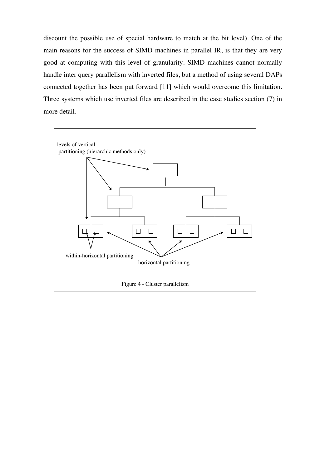discount the possible use of special hardware to match at the bit level). One of the main reasons for the success of SIMD machines in parallel IR, is that they are very good at computing with this level of granularity. SIMD machines cannot normally handle inter query parallelism with inverted files, but a method of using several DAPs connected together has been put forward [11] which would overcome this limitation. Three systems which use inverted files are described in the case studies section (7) in more detail.

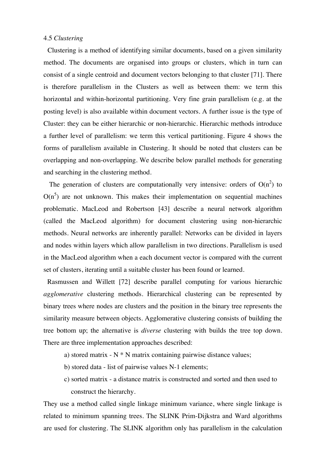#### 4.5 *Clustering*

 Clustering is a method of identifying similar documents, based on a given similarity method. The documents are organised into groups or clusters, which in turn can consist of a single centroid and document vectors belonging to that cluster [71]. There is therefore parallelism in the Clusters as well as between them: we term this horizontal and within-horizontal partitioning. Very fine grain parallelism (e.g. at the posting level) is also available within document vectors. A further issue is the type of Cluster: they can be either hierarchic or non-hierarchic. Hierarchic methods introduce a further level of parallelism: we term this vertical partitioning. Figure 4 shows the forms of parallelism available in Clustering. It should be noted that clusters can be overlapping and non-overlapping. We describe below parallel methods for generating and searching in the clustering method.

The generation of clusters are computationally very intensive: orders of  $O(n^2)$  to  $O(n^5)$  are not unknown. This makes their implementation on sequential machines problematic. MacLeod and Robertson [43] describe a neural network algorithm (called the MacLeod algorithm) for document clustering using non-hierarchic methods. Neural networks are inherently parallel: Networks can be divided in layers and nodes within layers which allow parallelism in two directions. Parallelism is used in the MacLeod algorithm when a each document vector is compared with the current set of clusters, iterating until a suitable cluster has been found or learned.

 Rasmussen and Willett [72] describe parallel computing for various hierarchic *agglomerative* clustering methods. Hierarchical clustering can be represented by binary trees where nodes are clusters and the position in the binary tree represents the similarity measure between objects. Agglomerative clustering consists of building the tree bottom up; the alternative is *diverse* clustering with builds the tree top down. There are three implementation approaches described:

- a) stored matrix  $N * N$  matrix containing pairwise distance values;
- b) stored data list of pairwise values N-1 elements;
- c) sorted matrix a distance matrix is constructed and sorted and then used to construct the hierarchy.

They use a method called single linkage minimum variance, where single linkage is related to minimum spanning trees. The SLINK Prim-Dijkstra and Ward algorithms are used for clustering. The SLINK algorithm only has parallelism in the calculation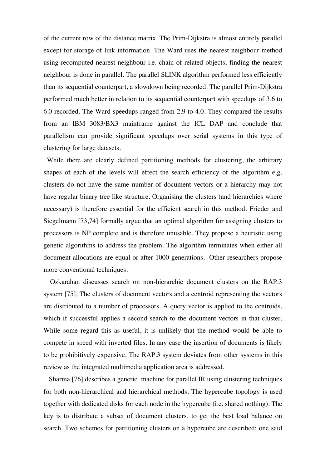of the current row of the distance matrix. The Prim-Dijkstra is almost entirely parallel except for storage of link information. The Ward uses the nearest neighbour method using recomputed nearest neighbour i.e. chain of related objects; finding the nearest neighbour is done in parallel. The parallel SLINK algorithm performed less efficiently than its sequential counterpart, a slowdown being recorded. The parallel Prim-Dijkstra performed much better in relation to its sequential counterpart with speedups of 3.6 to 6.0 recorded. The Ward speedups ranged from 2.9 to 4.0. They compared the results from an IBM 3083/BX3 mainframe against the ICL DAP and conclude that parallelism can provide significant speedups over serial systems in this type of clustering for large datasets.

 While there are clearly defined partitioning methods for clustering, the arbitrary shapes of each of the levels will effect the search efficiency of the algorithm e.g. clusters do not have the same number of document vectors or a hierarchy may not have regular binary tree like structure. Organising the clusters (and hierarchies where necessary) is therefore essential for the efficient search in this method. Frieder and Siegelmann [73,74] formally argue that an optimal algorithm for assigning clusters to processors is NP complete and is therefore unusable. They propose a heuristic using genetic algorithms to address the problem. The algorithm terminates when either all document allocations are equal or after 1000 generations. Other researchers propose more conventional techniques.

 Ozkarahan discusses search on non-hierarchic document clusters on the RAP.3 system [75]. The clusters of document vectors and a centroid representing the vectors are distributed to a number of processors. A query vector is applied to the centroids, which if successful applies a second search to the document vectors in that cluster. While some regard this as useful, it is unlikely that the method would be able to compete in speed with inverted files. In any case the insertion of documents is likely to be prohibitively expensive. The RAP.3 system deviates from other systems in this review as the integrated multimedia application area is addressed.

 Sharma [76] describes a generic machine for parallel IR using clustering techniques for both non-hierarchical and hierarchical methods. The hypercube topology is used together with dedicated disks for each node in the hypercube (i.e. shared nothing). The key is to distribute a subset of document clusters, to get the best load balance on search. Two schemes for partitioning clusters on a hypercube are described: one said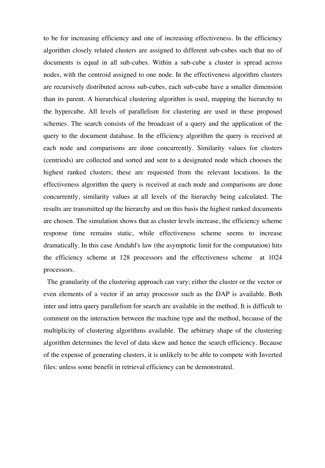to be for increasing efficiency and one of increasing effectiveness. In the efficiency algorithm closely related clusters are assigned to different sub-cubes such that no of documents is equal in all sub-cubes. Within a sub-cube a cluster is spread across nodes, with the centroid assigned to one node. In the effectiveness algorithm clusters are recursively distributed across sub-cubes, each sub-cube have a smaller dimension than its parent. A hierarchical clustering algorithm is used, mapping the hierarchy to the hypercube. All levels of parallelism for clustering are used in these proposed schemes. The search consists of the broadcast of a query and the application of the query to the document database. In the efficiency algorithm the query is received at each node and comparisons are done concurrently. Similarity values for clusters (centriods) are collected and sorted and sent to a designated node which chooses the highest ranked clusters; these are requested from the relevant locations. In the effectiveness algorithm the query is received at each node and comparisons are done concurrently, similarity values at all levels of the hierarchy being calculated. The results are transmitted up the hierarchy and on this basis the highest ranked documents are chosen. The simulation shows that as cluster levels increase, the efficiency scheme response time remains static, while effectiveness scheme seems to increase dramatically. In this case Amdahl's law (the asymptotic limit for the computation) hits the efficiency scheme at 128 processors and the effectiveness scheme at 1024 processors.

 The granularity of the clustering approach can vary; either the cluster or the vector or even elements of a vector if an array processor such as the DAP is available. Both inter and intra query parallelism for search are available in the method. It is difficult to comment on the interaction between the machine type and the method, because of the multiplicity of clustering algorithms available. The arbitrary shape of the clustering algorithm determines the level of data skew and hence the search efficiency. Because of the expense of generating clusters, it is unlikely to be able to compete with Inverted files: unless some benefit in retrieval efficiency can be demonstrated.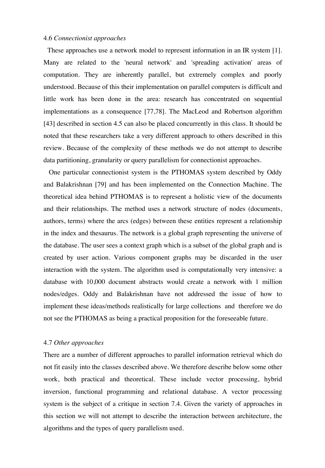#### 4.6 *Connectionist approaches*

 These approaches use a network model to represent information in an IR system [1]. Many are related to the 'neural network' and 'spreading activation' areas of computation. They are inherently parallel, but extremely complex and poorly understood. Because of this their implementation on parallel computers is difficult and little work has been done in the area: research has concentrated on sequential implementations as a consequence [77,78]. The MacLeod and Robertson algorithm [43] described in section 4.5 can also be placed concurrently in this class. It should be noted that these researchers take a very different approach to others described in this review. Because of the complexity of these methods we do not attempt to describe data partitioning, granularity or query parallelism for connectionist approaches.

 One particular connectionist system is the PTHOMAS system described by Oddy and Balakrishnan [79] and has been implemented on the Connection Machine. The theoretical idea behind PTHOMAS is to represent a holistic view of the documents and their relationships. The method uses a network structure of nodes (documents, authors, terms) where the arcs (edges) between these entities represent a relationship in the index and thesaurus. The network is a global graph representing the universe of the database. The user sees a context graph which is a subset of the global graph and is created by user action. Various component graphs may be discarded in the user interaction with the system. The algorithm used is computationally very intensive: a database with 10,000 document abstracts would create a network with 1 million nodes/edges. Oddy and Balakrishnan have not addressed the issue of how to implement these ideas/methods realistically for large collections and therefore we do not see the PTHOMAS as being a practical proposition for the foreseeable future.

#### 4.7 *Other approaches*

There are a number of different approaches to parallel information retrieval which do not fit easily into the classes described above. We therefore describe below some other work, both practical and theoretical. These include vector processing, hybrid inversion, functional programming and relational database. A vector processing system is the subject of a critique in section 7.4. Given the variety of approaches in this section we will not attempt to describe the interaction between architecture, the algorithms and the types of query parallelism used.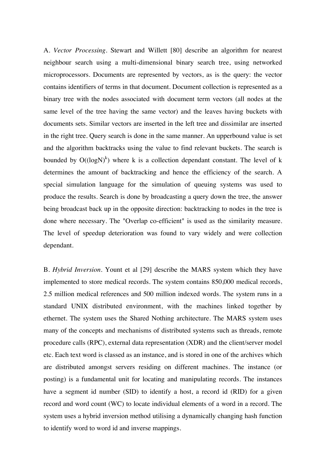A. *Vector Processing*. Stewart and Willett [80] describe an algorithm for nearest neighbour search using a multi-dimensional binary search tree, using networked microprocessors. Documents are represented by vectors, as is the query: the vector contains identifiers of terms in that document. Document collection is represented as a binary tree with the nodes associated with document term vectors (all nodes at the same level of the tree having the same vector) and the leaves having buckets with documents sets. Similar vectors are inserted in the left tree and dissimilar are inserted in the right tree. Query search is done in the same manner. An upperbound value is set and the algorithm backtracks using the value to find relevant buckets. The search is bounded by  $O((\log N)^k)$  where k is a collection dependant constant. The level of k determines the amount of backtracking and hence the efficiency of the search. A special simulation language for the simulation of queuing systems was used to produce the results. Search is done by broadcasting a query down the tree, the answer being broadcast back up in the opposite direction: backtracking to nodes in the tree is done where necessary. The "Overlap co-efficient" is used as the similarity measure. The level of speedup deterioration was found to vary widely and were collection dependant.

B. *Hybrid Inversion*. Yount et al [29] describe the MARS system which they have implemented to store medical records. The system contains 850,000 medical records, 2.5 million medical references and 500 million indexed words. The system runs in a standard UNIX distributed environment, with the machines linked together by ethernet. The system uses the Shared Nothing architecture. The MARS system uses many of the concepts and mechanisms of distributed systems such as threads, remote procedure calls (RPC), external data representation (XDR) and the client/server model etc. Each text word is classed as an instance, and is stored in one of the archives which are distributed amongst servers residing on different machines. The instance (or posting) is a fundamental unit for locating and manipulating records. The instances have a segment id number (SID) to identify a host, a record id (RID) for a given record and word count (WC) to locate individual elements of a word in a record. The system uses a hybrid inversion method utilising a dynamically changing hash function to identify word to word id and inverse mappings.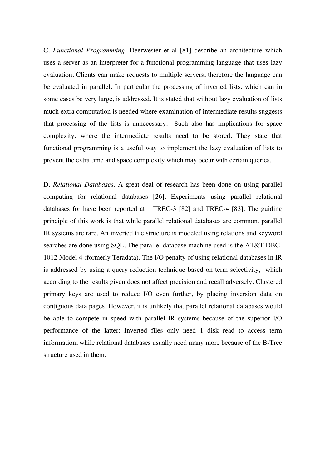C. *Functional Programming*. Deerwester et al [81] describe an architecture which uses a server as an interpreter for a functional programming language that uses lazy evaluation. Clients can make requests to multiple servers, therefore the language can be evaluated in parallel. In particular the processing of inverted lists, which can in some cases be very large, is addressed. It is stated that without lazy evaluation of lists much extra computation is needed where examination of intermediate results suggests that processing of the lists is unnecessary. Such also has implications for space complexity, where the intermediate results need to be stored. They state that functional programming is a useful way to implement the lazy evaluation of lists to prevent the extra time and space complexity which may occur with certain queries.

D. *Relational Databases*. A great deal of research has been done on using parallel computing for relational databases [26]. Experiments using parallel relational databases for have been reported at TREC-3 [82] and TREC-4 [83]. The guiding principle of this work is that while parallel relational databases are common, parallel IR systems are rare. An inverted file structure is modeled using relations and keyword searches are done using SQL. The parallel database machine used is the AT&T DBC-1012 Model 4 (formerly Teradata). The I/O penalty of using relational databases in IR is addressed by using a query reduction technique based on term selectivity, which according to the results given does not affect precision and recall adversely. Clustered primary keys are used to reduce I/O even further, by placing inversion data on contiguous data pages. However, it is unlikely that parallel relational databases would be able to compete in speed with parallel IR systems because of the superior I/O performance of the latter: Inverted files only need 1 disk read to access term information, while relational databases usually need many more because of the B-Tree structure used in them.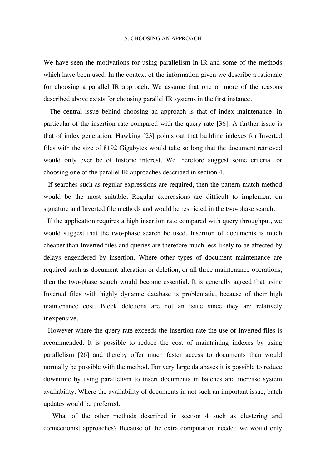#### 5. CHOOSING AN APPROACH

We have seen the motivations for using parallelism in IR and some of the methods which have been used. In the context of the information given we describe a rationale for choosing a parallel IR approach. We assume that one or more of the reasons described above exists for choosing parallel IR systems in the first instance.

 The central issue behind choosing an approach is that of index maintenance, in particular of the insertion rate compared with the query rate [36]. A further issue is that of index generation: Hawking [23] points out that building indexes for Inverted files with the size of 8192 Gigabytes would take so long that the document retrieved would only ever be of historic interest. We therefore suggest some criteria for choosing one of the parallel IR approaches described in section 4.

 If searches such as regular expressions are required, then the pattern match method would be the most suitable. Regular expressions are difficult to implement on signature and Inverted file methods and would be restricted in the two-phase search.

 If the application requires a high insertion rate compared with query throughput, we would suggest that the two-phase search be used. Insertion of documents is much cheaper than Inverted files and queries are therefore much less likely to be affected by delays engendered by insertion. Where other types of document maintenance are required such as document alteration or deletion, or all three maintenance operations, then the two-phase search would become essential. It is generally agreed that using Inverted files with highly dynamic database is problematic, because of their high maintenance cost. Block deletions are not an issue since they are relatively inexpensive.

 However where the query rate exceeds the insertion rate the use of Inverted files is recommended. It is possible to reduce the cost of maintaining indexes by using parallelism [26] and thereby offer much faster access to documents than would normally be possible with the method. For very large databases it is possible to reduce downtime by using parallelism to insert documents in batches and increase system availability. Where the availability of documents in not such an important issue, batch updates would be preferred.

 What of the other methods described in section 4 such as clustering and connectionist approaches? Because of the extra computation needed we would only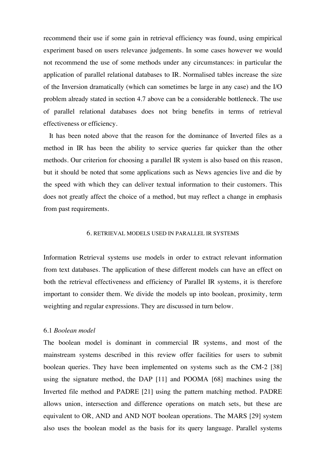recommend their use if some gain in retrieval efficiency was found, using empirical experiment based on users relevance judgements. In some cases however we would not recommend the use of some methods under any circumstances: in particular the application of parallel relational databases to IR. Normalised tables increase the size of the Inversion dramatically (which can sometimes be large in any case) and the I/O problem already stated in section 4.7 above can be a considerable bottleneck. The use of parallel relational databases does not bring benefits in terms of retrieval effectiveness or efficiency.

 It has been noted above that the reason for the dominance of Inverted files as a method in IR has been the ability to service queries far quicker than the other methods. Our criterion for choosing a parallel IR system is also based on this reason, but it should be noted that some applications such as News agencies live and die by the speed with which they can deliver textual information to their customers. This does not greatly affect the choice of a method, but may reflect a change in emphasis from past requirements.

#### 6. RETRIEVAL MODELS USED IN PARALLEL IR SYSTEMS

Information Retrieval systems use models in order to extract relevant information from text databases. The application of these different models can have an effect on both the retrieval effectiveness and efficiency of Parallel IR systems, it is therefore important to consider them. We divide the models up into boolean, proximity, term weighting and regular expressions. They are discussed in turn below.

#### 6.1 *Boolean model*

The boolean model is dominant in commercial IR systems, and most of the mainstream systems described in this review offer facilities for users to submit boolean queries. They have been implemented on systems such as the CM-2 [38] using the signature method, the DAP [11] and POOMA [68] machines using the Inverted file method and PADRE [21] using the pattern matching method. PADRE allows union, intersection and difference operations on match sets, but these are equivalent to OR, AND and AND NOT boolean operations. The MARS [29] system also uses the boolean model as the basis for its query language. Parallel systems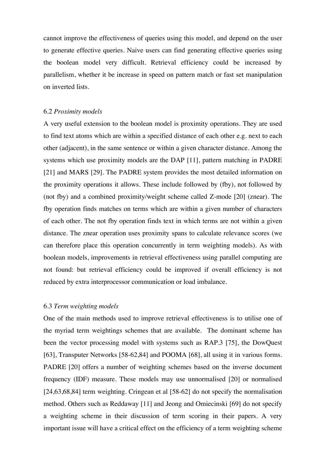cannot improve the effectiveness of queries using this model, and depend on the user to generate effective queries. Naive users can find generating effective queries using the boolean model very difficult. Retrieval efficiency could be increased by parallelism, whether it be increase in speed on pattern match or fast set manipulation on inverted lists.

#### 6.2 *Proximity models*

A very useful extension to the boolean model is proximity operations. They are used to find text atoms which are within a specified distance of each other e.g. next to each other (adjacent), in the same sentence or within a given character distance. Among the systems which use proximity models are the DAP [11], pattern matching in PADRE [21] and MARS [29]. The PADRE system provides the most detailed information on the proximity operations it allows. These include followed by (fby), not followed by (not fby) and a combined proximity/weight scheme called Z-mode [20] (znear). The fby operation finds matches on terms which are within a given number of characters of each other. The not fby operation finds text in which terms are not within a given distance. The znear operation uses proximity spans to calculate relevance scores (we can therefore place this operation concurrently in term weighting models). As with boolean models, improvements in retrieval effectiveness using parallel computing are not found: but retrieval efficiency could be improved if overall efficiency is not reduced by extra interprocessor communication or load imbalance.

#### 6.3 *Term weighting models*

One of the main methods used to improve retrieval effectiveness is to utilise one of the myriad term weightings schemes that are available. The dominant scheme has been the vector processing model with systems such as RAP.3 [75], the DowQuest [63], Transputer Networks [58-62,84] and POOMA [68], all using it in various forms. PADRE [20] offers a number of weighting schemes based on the inverse document frequency (IDF) measure. These models may use unnormalised [20] or normalised [24,63,68,84] term weighting. Cringean et al [58-62] do not specify the normalisation method. Others such as Reddaway [11] and Jeong and Omiecinski [69] do not specify a weighting scheme in their discussion of term scoring in their papers. A very important issue will have a critical effect on the efficiency of a term weighting scheme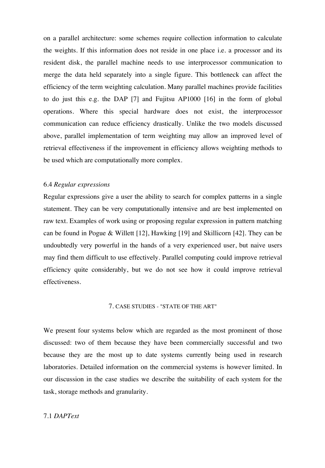on a parallel architecture: some schemes require collection information to calculate the weights. If this information does not reside in one place i.e. a processor and its resident disk, the parallel machine needs to use interprocessor communication to merge the data held separately into a single figure. This bottleneck can affect the efficiency of the term weighting calculation. Many parallel machines provide facilities to do just this e.g. the DAP [7] and Fujitsu AP1000 [16] in the form of global operations. Where this special hardware does not exist, the interprocessor communication can reduce efficiency drastically. Unlike the two models discussed above, parallel implementation of term weighting may allow an improved level of retrieval effectiveness if the improvement in efficiency allows weighting methods to be used which are computationally more complex.

#### 6.4 *Regular expressions*

Regular expressions give a user the ability to search for complex patterns in a single statement. They can be very computationally intensive and are best implemented on raw text. Examples of work using or proposing regular expression in pattern matching can be found in Pogue & Willett [12], Hawking [19] and Skillicorn [42]. They can be undoubtedly very powerful in the hands of a very experienced user, but naive users may find them difficult to use effectively. Parallel computing could improve retrieval efficiency quite considerably, but we do not see how it could improve retrieval effectiveness.

#### 7. CASE STUDIES - "STATE OF THE ART"

We present four systems below which are regarded as the most prominent of those discussed: two of them because they have been commercially successful and two because they are the most up to date systems currently being used in research laboratories. Detailed information on the commercial systems is however limited. In our discussion in the case studies we describe the suitability of each system for the task, storage methods and granularity.

#### 7.1 *DAPText*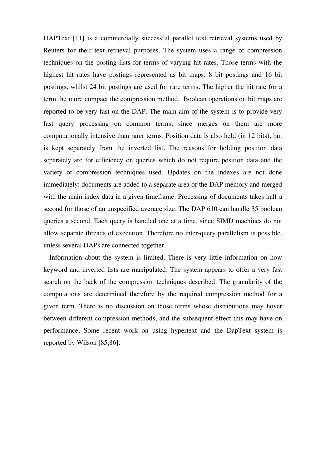DAPText [11] is a commercially successful parallel text retrieval systems used by Reuters for their text retrieval purposes. The system uses a range of compression techniques on the posting lists for terms of varying hit rates. Those terms with the highest hit rates have postings represented as bit maps, 8 bit postings and 16 bit postings, whilst 24 bit postings are used for rare terms. The higher the hit rate for a term the more compact the compression method. Boolean operations on bit maps are reported to be very fast on the DAP. The main aim of the system is to provide very fast query processing on common terms, since merges on them are more computationally intensive than rarer terms. Position data is also held (in 12 bits), but is kept separately from the inverted list. The reasons for holding position data separately are for efficiency on queries which do not require position data and the variety of compression techniques used. Updates on the indexes are not done immediately: documents are added to a separate area of the DAP memory and merged with the main index data in a given timeframe. Processing of documents takes half a second for those of an unspecified average size. The DAP 610 can handle 35 boolean queries a second. Each query is handled one at a time, since SIMD machines do not allow separate threads of execution. Therefore no inter-query parallelism is possible, unless several DAPs are connected together.

 Information about the system is limited. There is very little information on how keyword and inverted lists are manipulated. The system appears to offer a very fast search on the back of the compression techniques described. The granularity of the computations are determined therefore by the required compression method for a given term. There is no discussion on those terms whose distributions may hover between different compression methods, and the subsequent effect this may have on performance. Some recent work on using hypertext and the DapText system is reported by Wilson [85,86].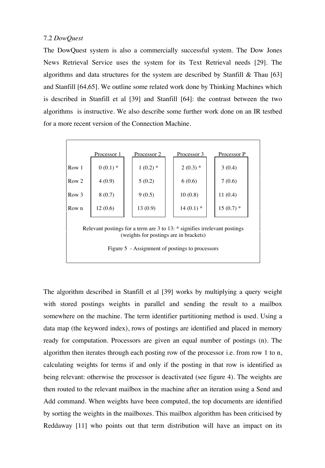#### 7.2 *DowQuest*

The DowQuest system is also a commercially successful system. The Dow Jones News Retrieval Service uses the system for its Text Retrieval needs [29]. The algorithms and data structures for the system are described by Stanfill & Thau [63] and Stanfill [64,65]. We outline some related work done by Thinking Machines which is described in Stanfill et al [39] and Stanfill [64]: the contrast between the two algorithms is instructive. We also describe some further work done on an IR testbed for a more recent version of the Connection Machine.

|                                                                                                                                                                               | Processor 1 | Processor 2 | Processor 3 | Processor P |  |
|-------------------------------------------------------------------------------------------------------------------------------------------------------------------------------|-------------|-------------|-------------|-------------|--|
| Row 1                                                                                                                                                                         | $0(0.1)$ *  | $1(0.2)$ *  | $2(0.3)$ *  | 3(0.4)      |  |
| Row <sub>2</sub>                                                                                                                                                              | 4(0.9)      | 5(0.2)      | 6(0.6)      | 7(0.6)      |  |
| Row 3                                                                                                                                                                         | 8(0.7)      | 9(0.5)      | 10(0.8)     | 11(0.4)     |  |
| Row n                                                                                                                                                                         | 12(0.6)     | 13(0.9)     | $14(0.1)$ * | $15(0.7)$ * |  |
| Relevant postings for a term are $3$ to $13$ : $*$ signifies irrelevant postings<br>(weights for postings are in brackets)<br>Figure 5 - Assignment of postings to processors |             |             |             |             |  |

The algorithm described in Stanfill et al [39] works by multiplying a query weight with stored postings weights in parallel and sending the result to a mailbox somewhere on the machine. The term identifier partitioning method is used. Using a data map (the keyword index), rows of postings are identified and placed in memory ready for computation. Processors are given an equal number of postings (n). The algorithm then iterates through each posting row of the processor i.e. from row 1 to n, calculating weights for terms if and only if the posting in that row is identified as being relevant: otherwise the processor is deactivated (see figure 4). The weights are then routed to the relevant mailbox in the machine after an iteration using a Send and Add command. When weights have been computed, the top documents are identified by sorting the weights in the mailboxes. This mailbox algorithm has been criticised by Reddaway [11] who points out that term distribution will have an impact on its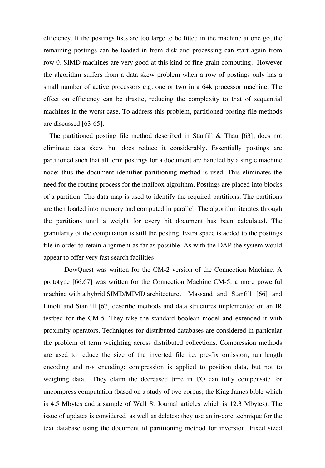efficiency. If the postings lists are too large to be fitted in the machine at one go, the remaining postings can be loaded in from disk and processing can start again from row 0. SIMD machines are very good at this kind of fine-grain computing. However the algorithm suffers from a data skew problem when a row of postings only has a small number of active processors e.g. one or two in a 64k processor machine. The effect on efficiency can be drastic, reducing the complexity to that of sequential machines in the worst case. To address this problem, partitioned posting file methods are discussed [63-65].

The partitioned posting file method described in Stanfill  $\&$  Thau [63], does not eliminate data skew but does reduce it considerably. Essentially postings are partitioned such that all term postings for a document are handled by a single machine node: thus the document identifier partitioning method is used. This eliminates the need for the routing process for the mailbox algorithm. Postings are placed into blocks of a partition. The data map is used to identify the required partitions. The partitions are then loaded into memory and computed in parallel. The algorithm iterates through the partitions until a weight for every hit document has been calculated. The granularity of the computation is still the posting. Extra space is added to the postings file in order to retain alignment as far as possible. As with the DAP the system would appear to offer very fast search facilities.

DowQuest was written for the CM-2 version of the Connection Machine. A prototype [66,67] was written for the Connection Machine CM-5: a more powerful machine with a hybrid SIMD/MIMD architecture. Massand and Stanfill [66] and Linoff and Stanfill [67] describe methods and data structures implemented on an IR testbed for the CM-5. They take the standard boolean model and extended it with proximity operators. Techniques for distributed databases are considered in particular the problem of term weighting across distributed collections. Compression methods are used to reduce the size of the inverted file i.e. pre-fix omission, run length encoding and n-s encoding: compression is applied to position data, but not to weighing data. They claim the decreased time in I/O can fully compensate for uncompress computation (based on a study of two corpus; the King James bible which is 4.5 Mbytes and a sample of Wall St Journal articles which is 12.3 Mbytes). The issue of updates is considered as well as deletes: they use an in-core technique for the text database using the document id partitioning method for inversion. Fixed sized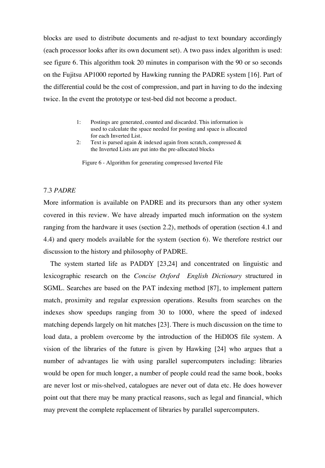blocks are used to distribute documents and re-adjust to text boundary accordingly (each processor looks after its own document set). A two pass index algorithm is used: see figure 6. This algorithm took 20 minutes in comparison with the 90 or so seconds on the Fujitsu AP1000 reported by Hawking running the PADRE system [16]. Part of the differential could be the cost of compression, and part in having to do the indexing twice. In the event the prototype or test-bed did not become a product.

- 1: Postings are generated, counted and discarded. This information is used to calculate the space needed for posting and space is allocated for each Inverted List.
- 2: Text is parsed again & indexed again from scratch, compressed & the Inverted Lists are put into the pre-allocated blocks

Figure 6 - Algorithm for generating compressed Inverted File

#### 7.3 *PADRE*

More information is available on PADRE and its precursors than any other system covered in this review. We have already imparted much information on the system ranging from the hardware it uses (section 2.2), methods of operation (section 4.1 and 4.4) and query models available for the system (section 6). We therefore restrict our discussion to the history and philosophy of PADRE.

 The system started life as PADDY [23,24] and concentrated on linguistic and lexicographic research on the *Concise Oxford English Dictionary* structured in SGML. Searches are based on the PAT indexing method [87], to implement pattern match, proximity and regular expression operations. Results from searches on the indexes show speedups ranging from 30 to 1000, where the speed of indexed matching depends largely on hit matches [23]. There is much discussion on the time to load data, a problem overcome by the introduction of the HiDIOS file system. A vision of the libraries of the future is given by Hawking [24] who argues that a number of advantages lie with using parallel supercomputers including: libraries would be open for much longer, a number of people could read the same book, books are never lost or mis-shelved, catalogues are never out of data etc. He does however point out that there may be many practical reasons, such as legal and financial, which may prevent the complete replacement of libraries by parallel supercomputers.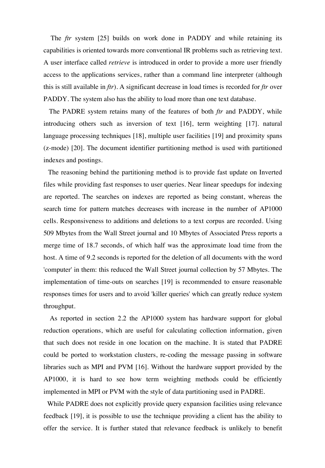The *ftr* system [25] builds on work done in PADDY and while retaining its capabilities is oriented towards more conventional IR problems such as retrieving text. A user interface called *retrieve* is introduced in order to provide a more user friendly access to the applications services, rather than a command line interpreter (although this is still available in *ftr*). A significant decrease in load times is recorded for *ftr* over PADDY. The system also has the ability to load more than one text database.

 The PADRE system retains many of the features of both *ftr* and PADDY, while introducing others such as inversion of text [16], term weighting [17]. natural language processing techniques [18], multiple user facilities [19] and proximity spans (z-mode) [20]. The document identifier partitioning method is used with partitioned indexes and postings.

 The reasoning behind the partitioning method is to provide fast update on Inverted files while providing fast responses to user queries. Near linear speedups for indexing are reported. The searches on indexes are reported as being constant, whereas the search time for pattern matches decreases with increase in the number of AP1000 cells. Responsiveness to additions and deletions to a text corpus are recorded. Using 509 Mbytes from the Wall Street journal and 10 Mbytes of Associated Press reports a merge time of 18.7 seconds, of which half was the approximate load time from the host. A time of 9.2 seconds is reported for the deletion of all documents with the word 'computer' in them: this reduced the Wall Street journal collection by 57 Mbytes. The implementation of time-outs on searches [19] is recommended to ensure reasonable responses times for users and to avoid 'killer queries' which can greatly reduce system throughput.

 As reported in section 2.2 the AP1000 system has hardware support for global reduction operations, which are useful for calculating collection information, given that such does not reside in one location on the machine. It is stated that PADRE could be ported to workstation clusters, re-coding the message passing in software libraries such as MPI and PVM [16]. Without the hardware support provided by the AP1000, it is hard to see how term weighting methods could be efficiently implemented in MPI or PVM with the style of data partitioning used in PADRE.

While PADRE does not explicitly provide query expansion facilities using relevance feedback [19], it is possible to use the technique providing a client has the ability to offer the service. It is further stated that relevance feedback is unlikely to benefit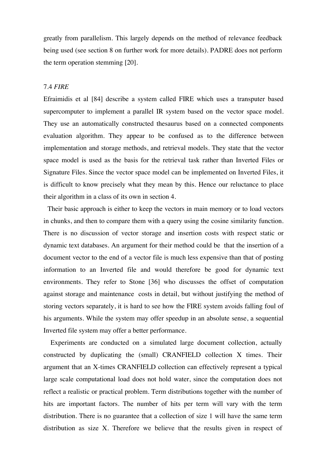greatly from parallelism. This largely depends on the method of relevance feedback being used (see section 8 on further work for more details). PADRE does not perform the term operation stemming [20].

#### 7.4 *FIRE*

Efraimidis et al [84] describe a system called FIRE which uses a transputer based supercomputer to implement a parallel IR system based on the vector space model. They use an automatically constructed thesaurus based on a connected components evaluation algorithm. They appear to be confused as to the difference between implementation and storage methods, and retrieval models. They state that the vector space model is used as the basis for the retrieval task rather than Inverted Files or Signature Files. Since the vector space model can be implemented on Inverted Files, it is difficult to know precisely what they mean by this. Hence our reluctance to place their algorithm in a class of its own in section 4.

 Their basic approach is either to keep the vectors in main memory or to load vectors in chunks, and then to compare them with a query using the cosine similarity function. There is no discussion of vector storage and insertion costs with respect static or dynamic text databases. An argument for their method could be that the insertion of a document vector to the end of a vector file is much less expensive than that of posting information to an Inverted file and would therefore be good for dynamic text environments. They refer to Stone [36] who discusses the offset of computation against storage and maintenance costs in detail, but without justifying the method of storing vectors separately, it is hard to see how the FIRE system avoids falling foul of his arguments. While the system may offer speedup in an absolute sense, a sequential Inverted file system may offer a better performance.

 Experiments are conducted on a simulated large document collection, actually constructed by duplicating the (small) CRANFIELD collection X times. Their argument that an X-times CRANFIELD collection can effectively represent a typical large scale computational load does not hold water, since the computation does not reflect a realistic or practical problem. Term distributions together with the number of hits are important factors. The number of hits per term will vary with the term distribution. There is no guarantee that a collection of size 1 will have the same term distribution as size X. Therefore we believe that the results given in respect of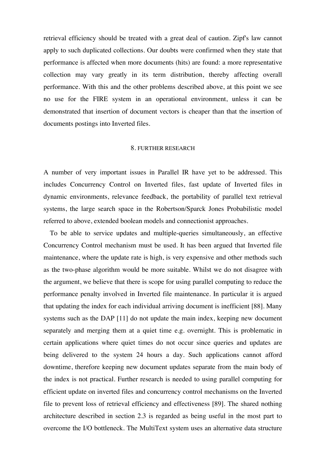retrieval efficiency should be treated with a great deal of caution. Zipf's law cannot apply to such duplicated collections. Our doubts were confirmed when they state that performance is affected when more documents (hits) are found: a more representative collection may vary greatly in its term distribution, thereby affecting overall performance. With this and the other problems described above, at this point we see no use for the FIRE system in an operational environment, unless it can be demonstrated that insertion of document vectors is cheaper than that the insertion of documents postings into Inverted files.

#### 8. FURTHER RESEARCH

A number of very important issues in Parallel IR have yet to be addressed. This includes Concurrency Control on Inverted files, fast update of Inverted files in dynamic environments, relevance feedback, the portability of parallel text retrieval systems, the large search space in the Robertson/Sparck Jones Probabilistic model referred to above, extended boolean models and connectionist approaches.

 To be able to service updates and multiple-queries simultaneously, an effective Concurrency Control mechanism must be used. It has been argued that Inverted file maintenance, where the update rate is high, is very expensive and other methods such as the two-phase algorithm would be more suitable. Whilst we do not disagree with the argument, we believe that there is scope for using parallel computing to reduce the performance penalty involved in Inverted file maintenance. In particular it is argued that updating the index for each individual arriving document is inefficient [88]. Many systems such as the DAP [11] do not update the main index, keeping new document separately and merging them at a quiet time e.g. overnight. This is problematic in certain applications where quiet times do not occur since queries and updates are being delivered to the system 24 hours a day. Such applications cannot afford downtime, therefore keeping new document updates separate from the main body of the index is not practical. Further research is needed to using parallel computing for efficient update on inverted files and concurrency control mechanisms on the Inverted file to prevent loss of retrieval efficiency and effectiveness [89]. The shared nothing architecture described in section 2.3 is regarded as being useful in the most part to overcome the I/O bottleneck. The MultiText system uses an alternative data structure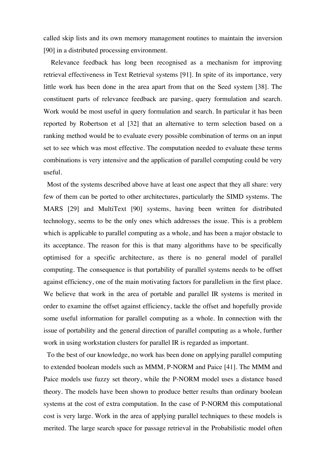called skip lists and its own memory management routines to maintain the inversion [90] in a distributed processing environment.

 Relevance feedback has long been recognised as a mechanism for improving retrieval effectiveness in Text Retrieval systems [91]. In spite of its importance, very little work has been done in the area apart from that on the Seed system [38]. The constituent parts of relevance feedback are parsing, query formulation and search. Work would be most useful in query formulation and search. In particular it has been reported by Robertson et al [32] that an alternative to term selection based on a ranking method would be to evaluate every possible combination of terms on an input set to see which was most effective. The computation needed to evaluate these terms combinations is very intensive and the application of parallel computing could be very useful.

 Most of the systems described above have at least one aspect that they all share: very few of them can be ported to other architectures, particularly the SIMD systems. The MARS [29] and MultiText [90] systems, having been written for distributed technology, seems to be the only ones which addresses the issue. This is a problem which is applicable to parallel computing as a whole, and has been a major obstacle to its acceptance. The reason for this is that many algorithms have to be specifically optimised for a specific architecture, as there is no general model of parallel computing. The consequence is that portability of parallel systems needs to be offset against efficiency, one of the main motivating factors for parallelism in the first place. We believe that work in the area of portable and parallel IR systems is merited in order to examine the offset against efficiency, tackle the offset and hopefully provide some useful information for parallel computing as a whole. In connection with the issue of portability and the general direction of parallel computing as a whole, further work in using workstation clusters for parallel IR is regarded as important.

 To the best of our knowledge, no work has been done on applying parallel computing to extended boolean models such as MMM, P-NORM and Paice [41]. The MMM and Paice models use fuzzy set theory, while the P-NORM model uses a distance based theory. The models have been shown to produce better results than ordinary boolean systems at the cost of extra computation. In the case of P-NORM this computational cost is very large. Work in the area of applying parallel techniques to these models is merited. The large search space for passage retrieval in the Probabilistic model often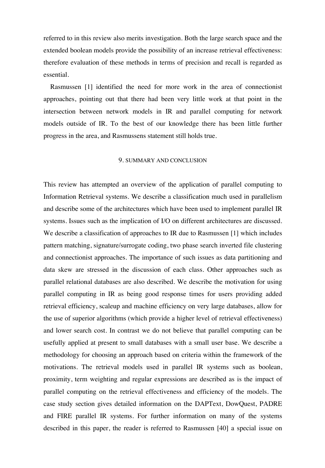referred to in this review also merits investigation. Both the large search space and the extended boolean models provide the possibility of an increase retrieval effectiveness: therefore evaluation of these methods in terms of precision and recall is regarded as essential.

 Rasmussen [1] identified the need for more work in the area of connectionist approaches, pointing out that there had been very little work at that point in the intersection between network models in IR and parallel computing for network models outside of IR. To the best of our knowledge there has been little further progress in the area, and Rasmussens statement still holds true.

#### 9. SUMMARY AND CONCLUSION

This review has attempted an overview of the application of parallel computing to Information Retrieval systems. We describe a classification much used in parallelism and describe some of the architectures which have been used to implement parallel IR systems. Issues such as the implication of I/O on different architectures are discussed. We describe a classification of approaches to IR due to Rasmussen [1] which includes pattern matching, signature/surrogate coding, two phase search inverted file clustering and connectionist approaches. The importance of such issues as data partitioning and data skew are stressed in the discussion of each class. Other approaches such as parallel relational databases are also described. We describe the motivation for using parallel computing in IR as being good response times for users providing added retrieval efficiency, scaleup and machine efficiency on very large databases, allow for the use of superior algorithms (which provide a higher level of retrieval effectiveness) and lower search cost. In contrast we do not believe that parallel computing can be usefully applied at present to small databases with a small user base. We describe a methodology for choosing an approach based on criteria within the framework of the motivations. The retrieval models used in parallel IR systems such as boolean, proximity, term weighting and regular expressions are described as is the impact of parallel computing on the retrieval effectiveness and efficiency of the models. The case study section gives detailed information on the DAPText, DowQuest, PADRE and FIRE parallel IR systems. For further information on many of the systems described in this paper, the reader is referred to Rasmussen [40] a special issue on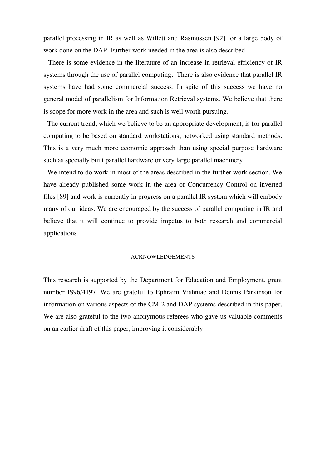parallel processing in IR as well as Willett and Rasmussen [92] for a large body of work done on the DAP. Further work needed in the area is also described.

 There is some evidence in the literature of an increase in retrieval efficiency of IR systems through the use of parallel computing. There is also evidence that parallel IR systems have had some commercial success. In spite of this success we have no general model of parallelism for Information Retrieval systems. We believe that there is scope for more work in the area and such is well worth pursuing.

 The current trend, which we believe to be an appropriate development, is for parallel computing to be based on standard workstations, networked using standard methods. This is a very much more economic approach than using special purpose hardware such as specially built parallel hardware or very large parallel machinery.

 We intend to do work in most of the areas described in the further work section. We have already published some work in the area of Concurrency Control on inverted files [89] and work is currently in progress on a parallel IR system which will embody many of our ideas. We are encouraged by the success of parallel computing in IR and believe that it will continue to provide impetus to both research and commercial applications.

#### ACKNOWLEDGEMENTS

This research is supported by the Department for Education and Employment, grant number IS96/4197. We are grateful to Ephraim Vishniac and Dennis Parkinson for information on various aspects of the CM-2 and DAP systems described in this paper. We are also grateful to the two anonymous referees who gave us valuable comments on an earlier draft of this paper, improving it considerably.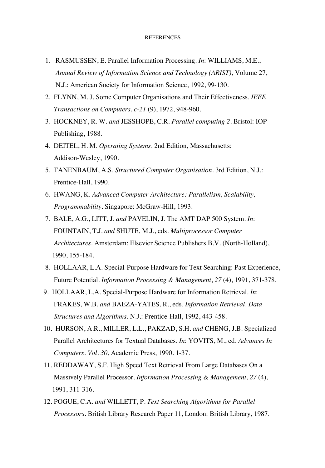#### REFERENCES

- 1. RASMUSSEN, E. Parallel Information Processing. *In*: WILLIAMS, M.E., *Annual Review of Information Science and Technology (ARIST),* Volume 27, N.J.: American Society for Information Science, 1992, 99-130.
- 2. FLYNN, M. J. Some Computer Organisations and Their Effectiveness. *IEEE Transactions on Computers*, *c-21* (9), 1972, 948-960.
- 3. HOCKNEY, R. W. *and* JESSHOPE, C.R. *Parallel computing 2*. Bristol: IOP Publishing, 1988.
- 4. DEITEL, H. M. *Operating Systems*. 2nd Edition, Massachusetts: Addison-Wesley, 1990.
- 5. TANENBAUM, A.S. *Structured Computer Organisation*. 3rd Edition, N.J.: Prentice-Hall, 1990.
- 6. HWANG, K. *Advanced Computer Architecture: Parallelism, Scalability, Programmability*. Singapore: McGraw-Hill, 1993.
- 7. BALE, A.G., LITT, J. *and* PAVELIN, J. The AMT DAP 500 System. *In*: FOUNTAIN, T.J. *and* SHUTE, M.J., eds. *Multiprocessor Computer Architectures*. Amsterdam: Elsevier Science Publishers B.V. (North-Holland), 1990, 155-184.
- 8. HOLLAAR, L.A. Special-Purpose Hardware for Text Searching: Past Experience, Future Potential. *Information Processing & Management*, *27* (4), 1991, 371-378.
- 9. HOLLAAR, L.A. Special-Purpose Hardware for Information Retrieval. *In*: FRAKES, W.B, *and* BAEZA-YATES, R., eds. *Information Retrieval, Data Structures and Algorithms*. N.J.: Prentice-Hall, 1992, 443-458.
- 10. HURSON, A.R., MILLER, L.L., PAKZAD, S.H. *and* CHENG, J.B. Specialized Parallel Architectures for Textual Databases. *In*: YOVITS, M., ed. *Advances In Computers*. *Vol. 30*, Academic Press, 1990. 1-37.
- 11. REDDAWAY, S.F. High Speed Text Retrieval From Large Databases On a Massively Parallel Processor. *Information Processing & Management*, *27* (4), 1991, 311-316.
- 12. POGUE, C.A. *and* WILLETT, P. *Text Searching Algorithms for Parallel Processors*. British Library Research Paper 11, London: British Library, 1987.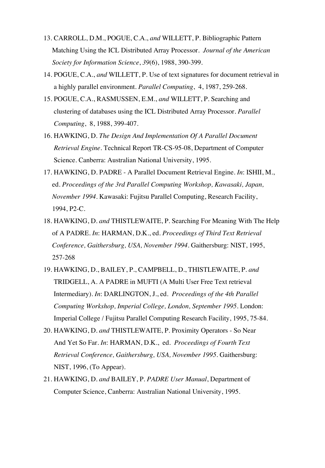- 13. CARROLL, D.M., POGUE, C.A., *and* WILLETT, P. Bibliographic Pattern Matching Using the ICL Distributed Array Processor*. Journal of the American Society for Information Science*, *39*(6), 1988, 390-399.
- 14. POGUE, C.A., *and* WILLETT, P. Use of text signatures for document retrieval in a highly parallel environment. *Parallel Computing*, 4, 1987, 259-268.
- 15. POGUE, C.A., RASMUSSEN, E.M., *and* WILLETT, P. Searching and clustering of databases using the ICL Distributed Array Processor. *Parallel Computing*, 8, 1988, 399-407.
- 16. HAWKING, D. *The Design And Implementation Of A Parallel Document Retrieval Engine*. Technical Report TR-CS-95-08, Department of Computer Science. Canberra: Australian National University, 1995.
- 17. HAWKING, D. PADRE A Parallel Document Retrieval Engine. *In*: ISHII, M., ed. *Proceedings of the 3rd Parallel Computing Workshop, Kawasaki, Japan, November 1994*. Kawasaki: Fujitsu Parallel Computing, Research Facility, 1994, P2-C.
- 18. HAWKING, D. *and* THISTLEWAITE, P. Searching For Meaning With The Help of A PADRE. *In*: HARMAN, D.K., ed. *Proceedings of Third Text Retrieval Conference, Gaithersburg, USA, November 1994*. Gaithersburg: NIST, 1995, 257-268
- 19. HAWKING, D., BAILEY, P., CAMPBELL, D., THISTLEWAITE, P. *and* TRIDGELL, A. A PADRE in MUFTI (A Multi User Free Text retrieval Intermediary). *In*: DARLINGTON, J., ed. *Proceedings of the 4th Parallel Computing Workshop, Imperial College, London, September 1995.* London: Imperial College / Fujitsu Parallel Computing Research Facility, 1995, 75-84.
- 20. HAWKING, D. *and* THISTLEWAITE, P. Proximity Operators So Near And Yet So Far. *In*: HARMAN, D.K., ed. *Proceedings of Fourth Text Retrieval Conference, Gaithersburg, USA, November 1995*. Gaithersburg: NIST, 1996, (To Appear).
- 21. HAWKING, D. *and* BAILEY, P. *PADRE User Manual*, Department of Computer Science, Canberra: Australian National University, 1995.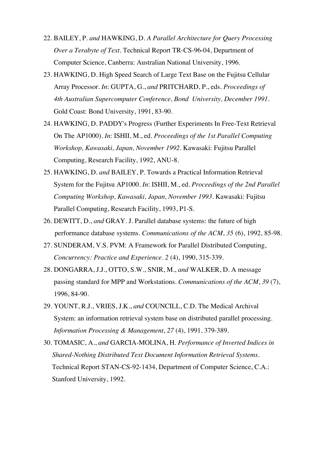- 22. BAILEY, P. *and* HAWKING, D. *A Parallel Architecture for Query Processing Over a Terabyte of Text*. Technical Report TR-CS-96-04, Department of Computer Science, Canberra: Australian National University, 1996.
- 23. HAWKING, D. High Speed Search of Large Text Base on the Fujitsu Cellular Array Processor. *In*: GUPTA, G., *and* PRITCHARD, P., eds. *Proceedings of 4th Australian Supercomputer Conference, Bond University, December 1991*. Gold Coast: Bond University, 1991, 83-90.
- 24. HAWKING, D. PADDY's Progress (Further Experiments In Free-Text Retrieval On The AP1000). *In*: ISHII, M., ed. *Proceedings of the 1st Parallel Computing Workshop, Kawasaki, Japan, November 1992.* Kawasaki: Fujitsu Parallel Computing, Research Facility, 1992, ANU-8.
- 25. HAWKING, D. *and* BAILEY, P. Towards a Practical Information Retrieval System for the Fujitsu AP1000. *In*: ISHII, M., ed. *Proceedings of the 2nd Parallel Computing Workshop, Kawasaki, Japan, November 1993*. Kawasaki: Fujitsu Parallel Computing, Research Facility, 1993, P1-S.
- 26. DEWITT, D., *and* GRAY. J. Parallel database systems: the future of high performance database systems. *Communications of the ACM*, *35* (6), 1992, 85-98.
- 27. SUNDERAM, V.S. PVM: A Framework for Parallel Distributed Computing, *Concurrency: Practice and Experience. 2* (4), 1990, 315-339.
- 28. DONGARRA, J.J., OTTO, S.W., SNIR, M., *and* WALKER, D. A message passing standard for MPP and Workstations. *Communications of the ACM*, *39* (7), 1996, 84-90.
- 29. YOUNT, R.J., VRIES, J.K., *and* COUNCILL, C.D. The Medical Archival System: an information retrieval system base on distributed parallel processing. *Information Processing & Management*, *27* (4), 1991, 379-389.
- 30. TOMASIC, A., *and* GARCIA-MOLINA, H. *Performance of Inverted Indices in Shared-Nothing Distributed Text Document Information Retrieval Systems*. Technical Report STAN-CS-92-1434, Department of Computer Science, C.A.: Stanford University, 1992.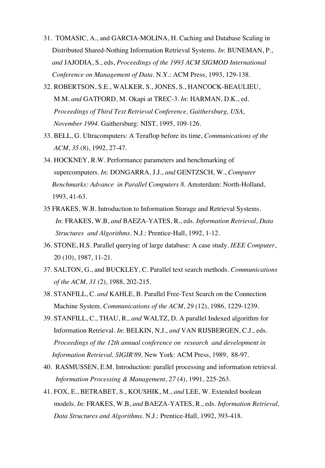- 31. TOMASIC, A., and GARCIA-MOLINA, H. Caching and Database Scaling in Distributed Shared-Nothing Information Retrieval Systems. *In*: BUNEMAN, P., *and* JAJODIA, S., eds, *Proceedings of the 1993 ACM SIGMOD International Conference on Management of Data*. N.Y.: ACM Press, 1993, 129-138.
- 32. ROBERTSON, S.E., WALKER, S., JONES, S., HANCOCK-BEAULIEU, M.M. *and* GATFORD, M. Okapi at TREC-3. *In*: HARMAN, D.K., ed. *Proceedings of Third Text Retrieval Conference, Gaithersburg, USA, November 1994*. Gaithersburg: NIST, 1995, 109-126.
- 33. BELL, G. Ultracomputers: A Teraflop before its time, *Communications of the ACM*, *35* (8), 1992, 27-47.
- 34. HOCKNEY, R.W. Performance parameters and benchmarking of supercomputers. *In*: DONGARRA, J.J., *and* GENTZSCH, W., *Computer Benchmarks: Advance in Parallel Computers 8*. Amsterdam: North-Holland, 1993, 41-63.
- 35 FRAKES, W.B. Introduction to Information Storage and Retrieval Systems. *In*: FRAKES, W.B, *and* BAEZA-YATES, R., eds. *Information Retrieval, Data Structures and Algorithms*. N.J.: Prentice-Hall, 1992, 1-12.
- 36. STONE, H.S. Parallel querying of large database: A case study. *IEEE Computer*, 20 (10), 1987, 11-21.
- 37. SALTON, G., and BUCKLEY, C. Parallel text search methods. *Communications of the ACM*, *31* (2), 1988, 202-215.
- 38. STANFILL, C. *and* KAHLE, B. Parallel Free-Text Search on the Connection Machine System. *Communications of the ACM*, *29* (12), 1986, 1229-1239.
- 39. STANFILL, C., THAU, R., *and* WALTZ, D. A parallel Indexed algorithm for Information Retrieval. *In*: BELKIN, N.J., *and* VAN RIJSBERGEN, C.J., eds. *Proceedings of the 12th annual conference on research and development in Information Retrieval, SIGIR'89,* New York: ACM Press, 1989, 88-97.
- 40. RASMUSSEN, E.M. Introduction: parallel processing and information retrieval. *Information Processing & Management*, *27* (4), 1991, 225-263.
- 41. FOX, E., BETRABET, S., KOUSHIK, M., *and* LEE, W. Extended boolean models. *In*: FRAKES, W.B, *and* BAEZA-YATES, R., eds. *Information Retrieval, Data Structures and Algorithms*. N.J.: Prentice-Hall, 1992, 393-418.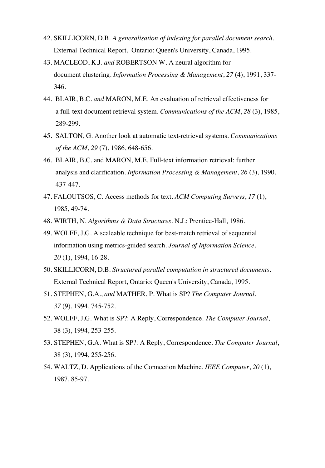- 42. SKILLICORN, D.B. *A generalisation of indexing for parallel document search*. External Technical Report, Ontario: Queen's University, Canada, 1995.
- 43. MACLEOD, K.J. *and* ROBERTSON W. A neural algorithm for document clustering. *Information Processing & Management*, *27* (4), 1991, 337- 346.
- 44. BLAIR, B.C. *and* MARON, M.E. An evaluation of retrieval effectiveness for a full-text document retrieval system. *Communications of the ACM*, *28* (3), 1985, 289-299.
- 45. SALTON, G. Another look at automatic text-retrieval systems. *Communications of the ACM*, *29* (7), 1986, 648-656.
- 46. BLAIR, B.C. and MARON, M.E. Full-text information retrieval: further analysis and clarification. *Information Processing & Management*, *26* (3), 1990, 437-447.
- 47. FALOUTSOS, C. Access methods for text. *ACM Computing Surveys*, *17* (1), 1985, 49-74.
- 48. WIRTH, N. *Algorithms & Data Structures*. N.J.: Prentice-Hall, 1986.
- 49. WOLFF, J.G. A scaleable technique for best-match retrieval of sequential information using metrics-guided search. *Journal of Information Science*, *20* (1), 1994, 16-28.
- 50. SKILLICORN, D.B. *Structured parallel computation in structured documents*. External Technical Report, Ontario: Queen's University, Canada, 1995.
- 51. STEPHEN, G.A., *and* MATHER, P. What is SP? *The Computer Journal*, *37* (9), 1994, 745-752.
- 52. WOLFF, J.G. What is SP?: A Reply, Correspondence. *The Computer Journal*, 38 (3), 1994, 253-255.
- 53. STEPHEN, G.A. What is SP?: A Reply, Correspondence. *The Computer Journal*, 38 (3), 1994, 255-256.
- 54. WALTZ, D. Applications of the Connection Machine. *IEEE Computer*, *20* (1), 1987, 85-97.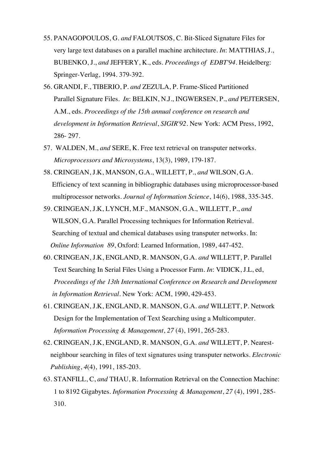- 55. PANAGOPOULOS, G. *and* FALOUTSOS, C. Bit-Sliced Signature Files for very large text databases on a parallel machine architecture. *In*: MATTHIAS, J., BUBENKO, J., *and* JEFFERY, K., eds. *Proceedings of EDBT'94*. Heidelberg: Springer-Verlag, 1994. 379-392.
- 56. GRANDI, F., TIBERIO, P. *and* ZEZULA, P. Frame-Sliced Partitioned Parallel Signature Files. *In*: BELKIN, N.J., INGWERSEN, P., *and* PEJTERSEN, A.M., eds. *Proceedings of the 15th annual conference on research and development in Information Retrieval*, *SIGIR'92*. New York: ACM Press, 1992, 286- 297.
- 57. WALDEN, M., *and* SERE, K. Free text retrieval on transputer networks. *Microprocessors and Microsystems*, 13(3), 1989, 179-187.
- 58. CRINGEAN, J.K, MANSON, G.A., WILLETT, P., *and* WILSON, G.A. Efficiency of text scanning in bibliographic databases using microprocessor-based multiprocessor networks. *Journal of Information Science*, 14(6), 1988, 335-345.
- 59. CRINGEAN, J.K, LYNCH, M.F., MANSON, G.A., WILLETT, P., *and* WILSON, G.A. Parallel Processing techniques for Information Retrieval. Searching of textual and chemical databases using transputer networks. In: *Online Information 89*, Oxford: Learned Information, 1989, 447-452.
- 60. CRINGEAN, J.K, ENGLAND, R. MANSON, G.A. *and* WILLETT, P. Parallel Text Searching In Serial Files Using a Processor Farm. *In*: VIDICK, J.L, ed, *Proceedings of the 13th International Conference on Research and Development in Information Retrieval*. New York: ACM, 1990, 429-453.
- 61. CRINGEAN, J.K, ENGLAND, R. MANSON, G.A. *and* WILLETT, P. Network Design for the Implementation of Text Searching using a Multicomputer. *Information Processing & Management*, *27* (4), 1991, 265-283.
- 62. CRINGEAN, J.K, ENGLAND, R. MANSON, G.A. *and* WILLETT, P. Nearest neighbour searching in files of text signatures using transputer networks. *Electronic Publishing*, *4*(4), 1991, 185-203.
- 63. STANFILL, C, *and* THAU, R. Information Retrieval on the Connection Machine: 1 to 8192 Gigabytes. *Information Processing & Management*, *27* (4), 1991, 285- 310.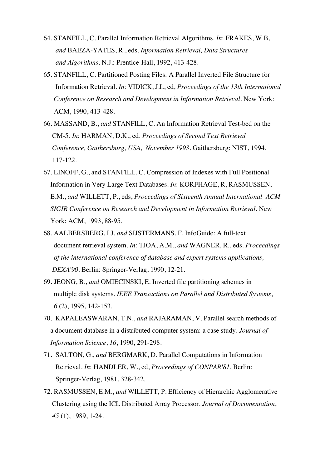- 64. STANFILL, C. Parallel Information Retrieval Algorithms. *In*: FRAKES, W.B, *and* BAEZA-YATES, R., eds. *Information Retrieval, Data Structures and Algorithms*. N.J.: Prentice-Hall, 1992, 413-428.
- 65. STANFILL, C. Partitioned Posting Files: A Parallel Inverted File Structure for Information Retrieval. *In*: VIDICK, J.L, ed, *Proceedings of the 13th International Conference on Research and Development in Information Retrieval*. New York: ACM, 1990, 413-428.
- 66. MASSAND, B., *and* STANFILL, C. An Information Retrieval Test-bed on the CM-5. *In*: HARMAN, D.K., ed. *Proceedings of Second Text Retrieval Conference, Gaithersburg, USA, November 1993*. Gaithersburg: NIST, 1994, 117-122.
- 67. LINOFF, G., and STANFILL, C. Compression of Indexes with Full Positional Information in Very Large Text Databases. *In*: KORFHAGE, R, RASMUSSEN, E.M., *and* WILLETT, P., eds, *Proceedings of Sixteenth Annual International ACM SIGIR Conference on Research and Development in Information Retrieval*. New York: ACM, 1993, 88-95.
- 68. AALBERSBERG, I.J, *and* SIJSTERMANS, F. InfoGuide: A full-text document retrieval system. *In*: TJOA, A.M., *and* WAGNER, R., eds. *Proceedings of the international conference of database and expert systems applications, DEXA'90*. Berlin: Springer-Verlag, 1990, 12-21.
- 69. JEONG, B., *and* OMIECINSKI, E. Inverted file partitioning schemes in multiple disk systems. *IEEE Transactions on Parallel and Distributed Systems*, *6* (2), 1995, 142-153.
- 70. KAPALEASWARAN, T.N., *and* RAJARAMAN, V. Parallel search methods of a document database in a distributed computer system: a case study. *Journal of Information Science*, *16*, 1990, 291-298.
- 71. SALTON, G., *and* BERGMARK, D. Parallel Computations in Information Retrieval. *In*: HANDLER, W., ed, *Proceedings of CONPAR'81*, Berlin: Springer-Verlag, 1981, 328-342.
- 72. RASMUSSEN, E.M., *and* WILLETT, P. Efficiency of Hierarchic Agglomerative Clustering using the ICL Distributed Array Processor. *Journal of Documentation*, *45* (1), 1989, 1-24.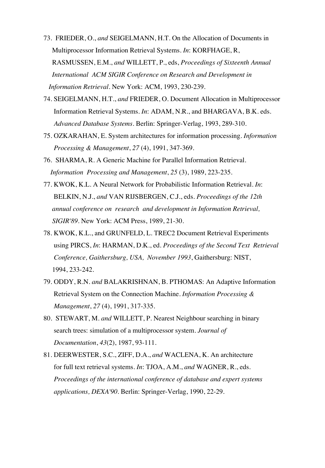- 73. FRIEDER, O., *and* SEIGELMANN, H.T. On the Allocation of Documents in Multiprocessor Information Retrieval Systems. *In*: KORFHAGE, R, RASMUSSEN, E.M., *and* WILLETT, P., eds, *Proceedings of Sixteenth Annual International ACM SIGIR Conference on Research and Development in Information Retrieval*. New York: ACM, 1993, 230-239.
- 74. SEIGELMANN, H.T., *and* FRIEDER, O. Document Allocation in Multiprocessor Information Retrieval Systems. *In*: ADAM, N.R., and BHARGAVA, B.K. eds. *Advanced Database Systems*. Berlin: Springer-Verlag, 1993, 289-310.
- 75. OZKARAHAN, E. System architectures for information processing. *Information Processing & Management*, *27* (4), 1991, 347-369.
- 76. SHARMA, R. A Generic Machine for Parallel Information Retrieval. *Information Processing and Management*, *25* (3), 1989, 223-235.
- 77. KWOK, K.L. A Neural Network for Probabilistic Information Retrieval. *In*: BELKIN, N.J., *and* VAN RIJSBERGEN, C.J., eds. *Proceedings of the 12th annual conference on research and development in Information Retrieval, SIGIR'89.* New York: ACM Press, 1989, 21-30.
- 78. KWOK, K.L., and GRUNFELD, L. TREC2 Document Retrieval Experiments using PIRCS, *In*: HARMAN, D.K., ed. *Proceedings of the Second Text Retrieval Conference, Gaithersburg, USA, November 1993*, Gaithersburg: NIST, 1994, 233-242.
- 79. ODDY, R.N. *and* BALAKRISHNAN, B. PTHOMAS: An Adaptive Information Retrieval System on the Connection Machine. *Information Processing & Management*, *27* (4), 1991, 317-335.
- 80. STEWART, M. *and* WILLETT, P. Nearest Neighbour searching in binary search trees: simulation of a multiprocessor system*. Journal of Documentation*, *43*(2), 1987, 93-111.
- 81. DEERWESTER, S.C., ZIFF, D.A., *and* WACLENA, K. An architecture for full text retrieval systems. *In*: TJOA, A.M., *and* WAGNER, R., eds. *Proceedings of the international conference of database and expert systems applications, DEXA'90*. Berlin: Springer-Verlag, 1990, 22-29.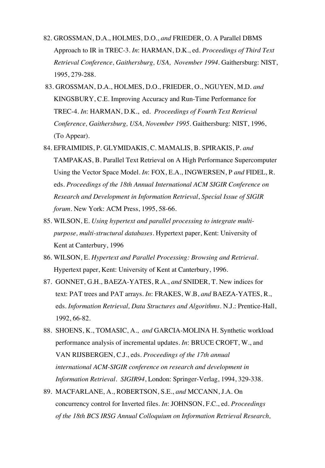- 82. GROSSMAN, D.A., HOLMES, D.O., *and* FRIEDER, O. A Parallel DBMS Approach to IR in TREC-3. *In*: HARMAN, D.K., ed. *Proceedings of Third Text Retrieval Conference, Gaithersburg, USA, November 1994*. Gaithersburg: NIST, 1995, 279-288.
- 83. GROSSMAN, D.A., HOLMES, D.O., FRIEDER, O., NGUYEN, M.D. *and* KINGSBURY, C.E. Improving Accuracy and Run-Time Performance for TREC-4. *In*: HARMAN, D.K., ed. *Proceedings of Fourth Text Retrieval Conference, Gaithersburg, USA, November 1995*. Gaithersburg: NIST, 1996, (To Appear).
- 84. EFRAIMIDIS, P. GLYMIDAKIS, C. MAMALIS, B. SPIRAKIS, P. *and* TAMPAKAS, B. Parallel Text Retrieval on A High Performance Supercomputer Using the Vector Space Model. *In*: FOX, E.A., INGWERSEN, P *and* FIDEL, R. eds. *Proceedings of the 18th Annual International ACM SIGIR Conference on Research and Development in Information Retrieval*, *Special Issue of SIGIR forum*. New York: ACM Press, 1995, 58-66.
- 85. WILSON, E. *Using hypertext and parallel processing to integrate multi purpose, multi-structural databases*. Hypertext paper, Kent: University of Kent at Canterbury, 1996
- 86. WILSON, E. *Hypertext and Parallel Processing: Browsing and Retrieval*. Hypertext paper, Kent: University of Kent at Canterbury, 1996.
- 87. GONNET, G.H., BAEZA-YATES, R.A., *and* SNIDER, T. New indices for text: PAT trees and PAT arrays. *In*: FRAKES, W.B, *and* BAEZA-YATES, R., eds. *Information Retrieval, Data Structures and Algorithms*. N.J.: Prentice-Hall, 1992, 66-82.
- 88. SHOENS, K., TOMASIC, A., *and* GARCIA-MOLINA H. Synthetic workload performance analysis of incremental updates. *In*: BRUCE CROFT, W., and VAN RIJSBERGEN, C.J., eds. *Proceedings of the 17th annual international ACM-SIGIR conference on research and development in Information Retrieval*. *SIGIR94*, London: Springer-Verlag, 1994, 329-338.
- 89. MACFARLANE, A., ROBERTSON, S.E., *and* MCCANN, J.A. On concurrency control for Inverted files. *In*: JOHNSON, F.C., ed. *Proceedings of the 18th BCS IRSG Annual Colloquium on Information Retrieval Research,*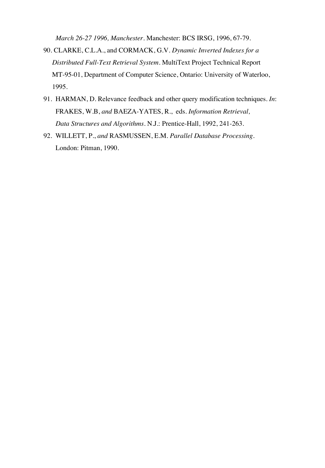*March 26-27 1996, Manchester*. Manchester: BCS IRSG, 1996, 67-79.

- 90. CLARKE, C.L.A., and CORMACK, G.V. *Dynamic Inverted Indexes for a Distributed Full-Text Retrieval System*. MultiText Project Technical Report MT-95-01, Department of Computer Science, Ontario: University of Waterloo, 1995.
- 91. HARMAN, D. Relevance feedback and other query modification techniques. *In*: FRAKES, W.B, *and* BAEZA-YATES, R., eds. *Information Retrieval, Data Structures and Algorithms*. N.J.: Prentice-Hall, 1992, 241-263.
- 92. WILLETT, P., *and* RASMUSSEN, E.M. *Parallel Database Processing*. London: Pitman, 1990.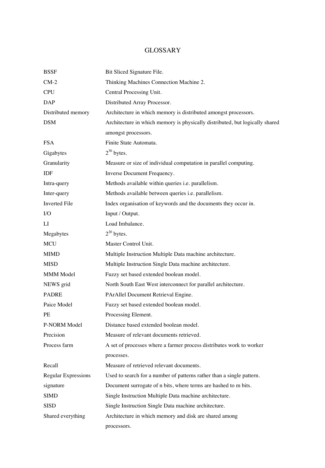### GLOSSARY

| <b>BSSF</b>                | Bit Sliced Signature File.                                                   |
|----------------------------|------------------------------------------------------------------------------|
| $CM-2$                     | Thinking Machines Connection Machine 2.                                      |
| <b>CPU</b>                 | Central Processing Unit.                                                     |
| DAP                        | Distributed Array Processor.                                                 |
| Distributed memory         | Architecture in which memory is distributed amongst processors.              |
| <b>DSM</b>                 | Architecture in which memory is physically distributed, but logically shared |
|                            | amongst processors.                                                          |
| <b>FSA</b>                 | Finite State Automata.                                                       |
| Gigabytes                  | $2^{30}$ bytes.                                                              |
| Granularity                | Measure or size of individual computation in parallel computing.             |
| IDF                        | Inverse Document Frequency.                                                  |
| Intra-query                | Methods available within queries i.e. parallelism.                           |
| Inter-query                | Methods available between queries i.e. parallelism.                          |
| <b>Inverted File</b>       | Index organisation of keywords and the documents they occur in.              |
| $1/O$                      | Input / Output.                                                              |
| $_{\rm LI}$                | Load Imbalance.                                                              |
| Megabytes                  | $2^{20}$ bytes.                                                              |
| MCU                        | Master Control Unit.                                                         |
| <b>MIMD</b>                | Multiple Instruction Multiple Data machine architecture.                     |
| <b>MISD</b>                | Multiple Instruction Single Data machine architecture.                       |
| MMM Model                  | Fuzzy set based extended boolean model.                                      |
| NEWS grid                  | North South East West interconnect for parallel architecture.                |
| <b>PADRE</b>               | PArAllel Document Retrieval Engine.                                          |
| Paice Model                | Fuzzy set based extended boolean model.                                      |
| PE                         | Processing Element.                                                          |
| P-NORM Model               | Distance based extended boolean model.                                       |
| Precision                  | Measure of relevant documents retrieved.                                     |
| Process farm               | A set of processes where a farmer process distributes work to worker         |
|                            | processes.                                                                   |
| Recall                     | Measure of retrieved relevant documents.                                     |
| <b>Regular Expressions</b> | Used to search for a number of patterns rather than a single pattern.        |
| signature                  | Document surrogate of n bits, where terms are hashed to m bits.              |
| <b>SIMD</b>                | Single Instruction Multiple Data machine architecture.                       |
| <b>SISD</b>                | Single Instruction Single Data machine architecture.                         |
| Shared everything          | Architecture in which memory and disk are shared among                       |
|                            | processors.                                                                  |